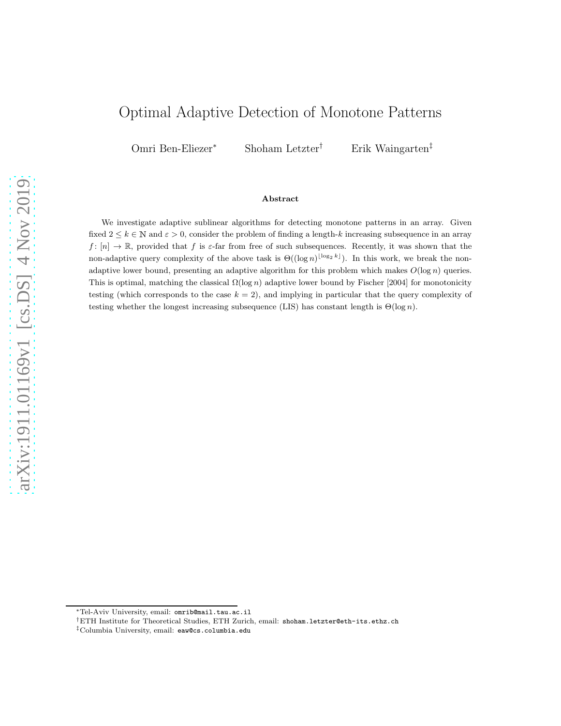# Optimal Adaptive Detection of Monotone Patterns

Omri Ben-Eliezer<sup>∗</sup> Shoham Letzter† Erik Waingarten‡

#### Abstract

We investigate adaptive sublinear algorithms for detecting monotone patterns in an array. Given fixed  $2 \leq k \in \mathbb{N}$  and  $\varepsilon > 0$ , consider the problem of finding a length-k increasing subsequence in an array  $f: [n] \to \mathbb{R}$ , provided that f is  $\varepsilon$ -far from free of such subsequences. Recently, it was shown that the non-adaptive query complexity of the above task is  $\Theta((\log n)^{\lfloor \log_2 k \rfloor})$ . In this work, we break the nonadaptive lower bound, presenting an adaptive algorithm for this problem which makes  $O(\log n)$  queries. This is optimal, matching the classical  $\Omega(\log n)$  adaptive lower bound by Fischer [2004] for monotonicity testing (which corresponds to the case  $k = 2$ ), and implying in particular that the query complexity of testing whether the longest increasing subsequence (LIS) has constant length is  $\Theta(\log n)$ .

<sup>∗</sup>Tel-Aviv University, email: [omrib@mail.tau.ac.il](mailto:omrib@mail.tau.ac.il)

<sup>†</sup>ETH Institute for Theoretical Studies, ETH Zurich, email: [shoham.letzter@eth-its.ethz.ch](mailto:shoham.letzter@eth-its.ethz.ch)

<sup>‡</sup>Columbia University, email: [eaw@cs.columbia.edu](mailto:eaw@cs.columbia.edu)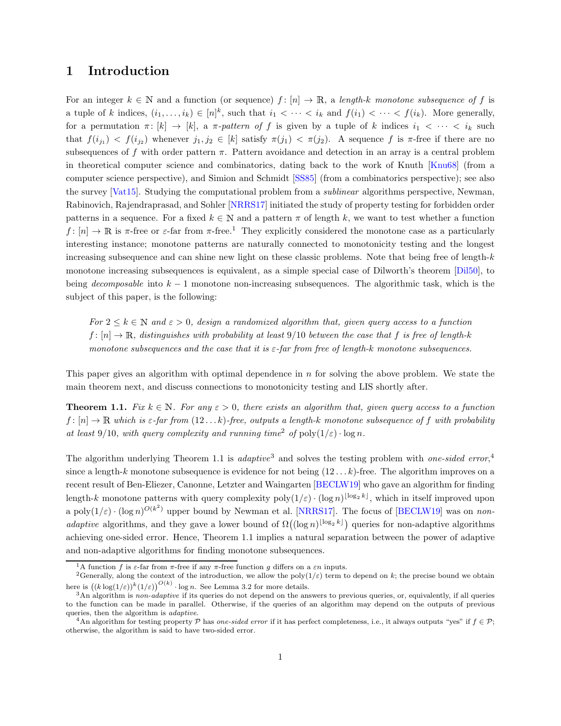# 1 Introduction

For an integer  $k \in \mathbb{N}$  and a function (or sequence)  $f : [n] \to \mathbb{R}$ , a length-k monotone subsequence of f is a tuple of k indices,  $(i_1, \ldots, i_k) \in [n]^k$ , such that  $i_1 < \cdots < i_k$  and  $f(i_1) < \cdots < f(i_k)$ . More generally, for a permutation  $\pi: [k] \to [k]$ , a  $\pi$ -pattern of f is given by a tuple of k indices  $i_1 < \cdots < i_k$  such that  $f(i_{j_1}) < f(i_{j_2})$  whenever  $j_1, j_2 \in [k]$  satisfy  $\pi(j_1) < \pi(j_2)$ . A sequence f is  $\pi$ -free if there are no subsequences of f with order pattern  $\pi$ . Pattern avoidance and detection in an array is a central problem in theoretical computer science and combinatorics, dating back to the work of Knuth [\[Knu68\]](#page-20-0) (from a computer science perspective), and Simion and Schmidt [\[SS85](#page-21-0)] (from a combinatorics perspective); see also the survey [\[Vat15](#page-21-1)]. Studying the computational problem from a *sublinear* algorithms perspective, Newman, Rabinovich, Rajendraprasad, and Sohler [\[NRRS17](#page-20-1)] initiated the study of property testing for forbidden order patterns in a sequence. For a fixed  $k \in \mathbb{N}$  and a pattern  $\pi$  of length k, we want to test whether a function  $f: [n] \to \mathbb{R}$  is  $\pi$ -free or  $\varepsilon$ -far from  $\pi$ -free.<sup>[1](#page-1-0)</sup> They explicitly considered the monotone case as a particularly interesting instance; monotone patterns are naturally connected to monotonicity testing and the longest increasing subsequence and can shine new light on these classic problems. Note that being free of length-k monotone increasing subsequences is equivalent, as a simple special case of Dilworth's theorem [\[Dil50\]](#page-20-2), to being decomposable into  $k - 1$  monotone non-increasing subsequences. The algorithmic task, which is the subject of this paper, is the following:

For  $2 \leq k \in \mathbb{N}$  and  $\varepsilon > 0$ , design a randomized algorithm that, given query access to a function  $f: [n] \to \mathbb{R}$ , distinguishes with probability at least 9/10 between the case that f is free of length-k monotone subsequences and the case that it is  $\varepsilon$ -far from free of length-k monotone subsequences.

<span id="page-1-2"></span>This paper gives an algorithm with optimal dependence in n for solving the above problem. We state the main theorem next, and discuss connections to monotonicity testing and LIS shortly after.

**Theorem 1.1.** Fix  $k \in \mathbb{N}$ . For any  $\varepsilon > 0$ , there exists an algorithm that, given query access to a function  $f: [n] \to \mathbb{R}$  which is  $\varepsilon$ -far from  $(12...k)$ -free, outputs a length-k monotone subsequence of f with probability at least 9/10, with query complexity and running time<sup>[2](#page-1-1)</sup> of  $\text{poly}(1/\varepsilon) \cdot \log n$ .

The algorithm underlying Theorem [1.1](#page-1-2) is *adaptive*<sup>[3](#page-1-3)</sup> and solves the testing problem with *one-sided error*,<sup>[4](#page-1-4)</sup> since a length-k monotone subsequence is evidence for not being  $(12 \dots k)$ -free. The algorithm improves on a recent result of Ben-Eliezer, Canonne, Letzter and Waingarten [\[BECLW19](#page-19-0)] who gave an algorithm for finding length-k monotone patterns with query complexity  $poly(1/\varepsilon) \cdot (\log n)^{\lfloor \log_2 k \rfloor}$ , which in itself improved upon a poly $(1/\varepsilon) \cdot (\log n)^{O(k^2)}$  upper bound by Newman et al. [\[NRRS17](#page-20-1)]. The focus of [\[BECLW19\]](#page-19-0) was on nonadaptive algorithms, and they gave a lower bound of  $\Omega((\log n)^{\lfloor \log_2 k \rfloor})$  queries for non-adaptive algorithms achieving one-sided error. Hence, Theorem [1.1](#page-1-2) implies a natural separation between the power of adaptive and non-adaptive algorithms for finding monotone subsequences.

<span id="page-1-0"></span><sup>&</sup>lt;sup>1</sup>A function f is  $\varepsilon$ -far from  $\pi$ -free if any  $\pi$ -free function g differs on a  $\varepsilon n$  inputs.

<span id="page-1-1"></span><sup>&</sup>lt;sup>2</sup>Generally, along the context of the introduction, we allow the poly $(1/\varepsilon)$  term to depend on k; the precise bound we obtain here is  $((k \log(1/\varepsilon))^{k} (1/\varepsilon))^{O(k)} \cdot \log n$ . See Lemma [3.2](#page-10-0) for more details.

<span id="page-1-3"></span> $3$ An algorithm is non-adaptive if its queries do not depend on the answers to previous queries, or, equivalently, if all queries to the function can be made in parallel. Otherwise, if the queries of an algorithm may depend on the outputs of previous queries, then the algorithm is adaptive.

<span id="page-1-4"></span><sup>4</sup>An algorithm for testing property P has one-sided error if it has perfect completeness, i.e., it always outputs "yes" if  $f \in \mathcal{P}$ ; otherwise, the algorithm is said to have two-sided error.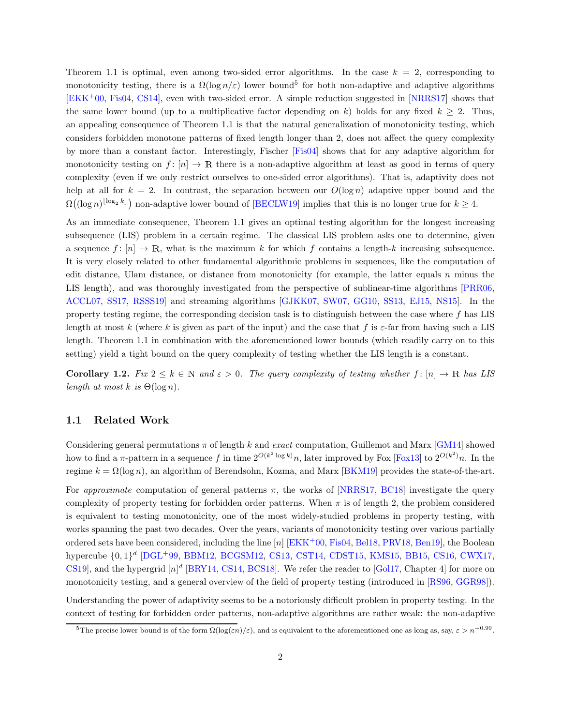Theorem [1.1](#page-1-2) is optimal, even among two-sided error algorithms. In the case  $k = 2$ , corresponding to monotonicity testing, there is a  $\Omega(\log n/\varepsilon)$  lower bound<sup>[5](#page-2-0)</sup> for both non-adaptive and adaptive algorithms [\[EKK](#page-20-3)<sup>+</sup>00, [Fis04](#page-20-4), [CS14](#page-19-1)], even with two-sided error. A simple reduction suggested in [\[NRRS17](#page-20-1)] shows that the same lower bound (up to a multiplicative factor depending on k) holds for any fixed  $k \geq 2$ . Thus, an appealing consequence of Theorem [1.1](#page-1-2) is that the natural generalization of monotonicity testing, which considers forbidden monotone patterns of fixed length longer than 2, does not affect the query complexity by more than a constant factor. Interestingly, Fischer [\[Fis04](#page-20-4)] shows that for any adaptive algorithm for monotonicity testing on  $f: [n] \to \mathbb{R}$  there is a non-adaptive algorithm at least as good in terms of query complexity (even if we only restrict ourselves to one-sided error algorithms). That is, adaptivity does not help at all for  $k = 2$ . In contrast, the separation between our  $O(\log n)$  adaptive upper bound and the  $\Omega((\log n)^{\lfloor \log_2 k \rfloor})$  non-adaptive lower bound of [\[BECLW19\]](#page-19-0) implies that this is no longer true for  $k \geq 4$ .

As an immediate consequence, Theorem [1.1](#page-1-2) gives an optimal testing algorithm for the longest increasing subsequence (LIS) problem in a certain regime. The classical LIS problem asks one to determine, given a sequence  $f: [n] \to \mathbb{R}$ , what is the maximum k for which f contains a length-k increasing subsequence. It is very closely related to other fundamental algorithmic problems in sequences, like the computation of edit distance, Ulam distance, or distance from monotonicity (for example, the latter equals  $n$  minus the LIS length), and was thoroughly investigated from the perspective of sublinear-time algorithms [\[PRR06](#page-20-5), [ACCL07,](#page-18-0) [SS17](#page-21-2), [RSSS19](#page-21-3)] and streaming algorithms [\[GJKK07,](#page-20-6) [SW07,](#page-21-4) [GG10,](#page-20-7) [SS13,](#page-21-5) [EJ15,](#page-20-8) [NS15](#page-20-9)]. In the property testing regime, the corresponding decision task is to distinguish between the case where  $f$  has LIS length at most k (where k is given as part of the input) and the case that f is  $\varepsilon$ -far from having such a LIS length. Theorem [1.1](#page-1-2) in combination with the aforementioned lower bounds (which readily carry on to this setting) yield a tight bound on the query complexity of testing whether the LIS length is a constant.

Corollary 1.2. Fix  $2 \leq k \in \mathbb{N}$  and  $\varepsilon > 0$ . The query complexity of testing whether  $f : [n] \to \mathbb{R}$  has LIS length at most k is  $\Theta(\log n)$ .

#### 1.1 Related Work

Considering general permutations  $\pi$  of length k and exact computation, Guillemot and Marx [\[GM14\]](#page-20-10) showed how to find a  $\pi$ -pattern in a sequence f in time  $2^{O(k^2 \log k)}n$ , later improved by Fox [\[Fox13\]](#page-20-11) to  $2^{O(k^2)}n$ . In the regime  $k = \Omega(\log n)$ , an algorithm of Berendsohn, Kozma, and Marx [\[BKM19\]](#page-19-2) provides the state-of-the-art.

For approximate computation of general patterns  $\pi$ , the works of [\[NRRS17,](#page-20-1) [BC18](#page-18-1)] investigate the query complexity of property testing for forbidden order patterns. When  $\pi$  is of length 2, the problem considered is equivalent to testing monotonicity, one of the most widely-studied problems in property testing, with works spanning the past two decades. Over the years, variants of monotonicity testing over various partially ordered sets have been considered, including the line  $[n]$  [\[EKK](#page-20-3)+00, [Fis04,](#page-20-4) [Bel18](#page-19-3), [PRV18](#page-20-12), [Ben19](#page-19-4)], the Boolean hypercube  $\{0,1\}^d$  [\[DGL](#page-19-5)<sup>+</sup>99, [BBM12](#page-18-2), [BCGSM12,](#page-19-6) [CS13,](#page-19-7) [CST14](#page-19-8), [CDST15](#page-19-9), [KMS15,](#page-20-13) [BB15,](#page-18-3) [CS16,](#page-19-10) [CWX17](#page-19-11), [CS19\]](#page-19-12), and the hypergrid  $[n]^d$  [\[BRY14](#page-19-13), [CS14,](#page-19-1) [BCS18\]](#page-19-14). We refer the reader to [\[Gol17,](#page-20-14) Chapter 4] for more on monotonicity testing, and a general overview of the field of property testing (introduced in [\[RS96,](#page-21-6) [GGR98\]](#page-20-15)).

Understanding the power of adaptivity seems to be a notoriously difficult problem in property testing. In the context of testing for forbidden order patterns, non-adaptive algorithms are rather weak: the non-adaptive

<span id="page-2-0"></span><sup>&</sup>lt;sup>5</sup>The precise lower bound is of the form  $\Omega(\log(\varepsilon n)/\varepsilon)$ , and is equivalent to the aforementioned one as long as, say,  $\varepsilon > n^{-0.99}$ .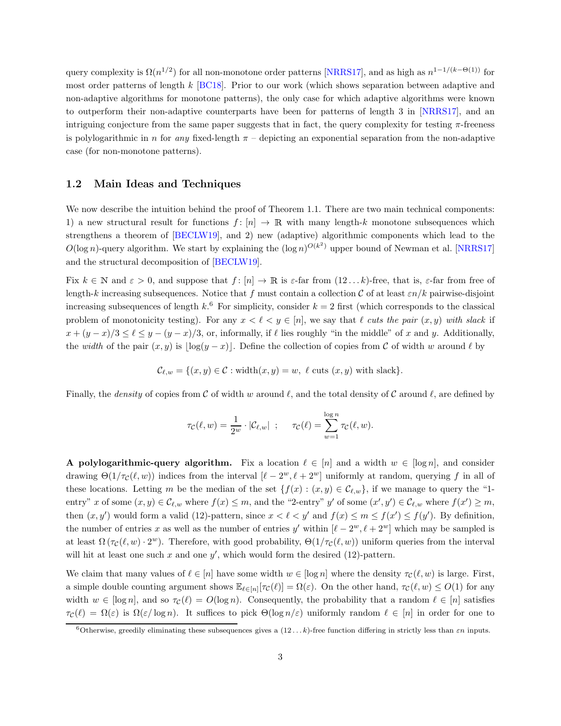query complexity is  $\Omega(n^{1/2})$  for all non-monotone order patterns [\[NRRS17](#page-20-1)], and as high as  $n^{1-1/(k-\Theta(1))}$  for most order patterns of length k [\[BC18\]](#page-18-1). Prior to our work (which shows separation between adaptive and non-adaptive algorithms for monotone patterns), the only case for which adaptive algorithms were known to outperform their non-adaptive counterparts have been for patterns of length 3 in [\[NRRS17](#page-20-1)], and an intriguing conjecture from the same paper suggests that in fact, the query complexity for testing  $\pi$ -freeness is polylogarithmic in n for any fixed-length  $\pi$  – depicting an exponential separation from the non-adaptive case (for non-monotone patterns).

### <span id="page-3-1"></span>1.2 Main Ideas and Techniques

We now describe the intuition behind the proof of Theorem [1.1.](#page-1-2) There are two main technical components: 1) a new structural result for functions  $f : [n] \to \mathbb{R}$  with many length-k monotone subsequences which strengthens a theorem of [\[BECLW19](#page-19-0)], and 2) new (adaptive) algorithmic components which lead to the  $O(\log n)$ -query algorithm. We start by explaining the  $(\log n)^{O(k^2)}$  upper bound of Newman et al. [\[NRRS17](#page-20-1)] and the structural decomposition of [\[BECLW19\]](#page-19-0).

Fix  $k \in \mathbb{N}$  and  $\varepsilon > 0$ , and suppose that  $f: [n] \to \mathbb{R}$  is  $\varepsilon$ -far from  $(12...k)$ -free, that is,  $\varepsilon$ -far from free of length-k increasing subsequences. Notice that f must contain a collection C of at least  $\varepsilon n/k$  pairwise-disjoint increasing subsequences of length  $k$ <sup>[6](#page-3-0)</sup>. For simplicity, consider  $k = 2$  first (which corresponds to the classical problem of monotonicity testing). For any  $x < \ell < y \in [n]$ , we say that  $\ell$  cuts the pair  $(x, y)$  with slack if  $x + (y - x)/3 \le \ell \le y - (y - x)/3$ , or, informally, if  $\ell$  lies roughly "in the middle" of x and y. Additionally, the width of the pair  $(x, y)$  is  $\lfloor \log(y - x) \rfloor$ . Define the collection of copies from C of width w around  $\ell$  by

$$
\mathcal{C}_{\ell,w} = \{(x,y) \in \mathcal{C} : \text{width}(x,y) = w, \ell \text{ cuts } (x,y) \text{ with slack}\}.
$$

Finally, the *density* of copies from C of width w around  $\ell$ , and the total density of C around  $\ell$ , are defined by

$$
\tau_{\mathcal{C}}(\ell, w) = \frac{1}{2^w} \cdot |\mathcal{C}_{\ell,w}| \quad ; \quad \tau_{\mathcal{C}}(\ell) = \sum_{w=1}^{\log n} \tau_{\mathcal{C}}(\ell, w).
$$

A polylogarithmic-query algorithm. Fix a location  $\ell \in [n]$  and a width  $w \in [\log n]$ , and consider drawing  $\Theta(1/\tau_{\mathcal{C}}(\ell,w))$  indices from the interval  $[\ell-2^w,\ell+2^w]$  uniformly at random, querying f in all of these locations. Letting m be the median of the set  $\{f(x): (x, y) \in C_{\ell,w}\}$ , if we manage to query the "1entry" x of some  $(x, y) \in \mathcal{C}_{\ell,w}$  where  $f(x) \leq m$ , and the "2-entry" y' of some  $(x', y') \in \mathcal{C}_{\ell,w}$  where  $f(x') \geq m$ , then  $(x, y')$  would form a valid (12)-pattern, since  $x < \ell < y'$  and  $f(x) \le m \le f(x') \le f(y')$ . By definition, the number of entries x as well as the number of entries y' within  $[\ell - 2^w, \ell + 2^w]$  which may be sampled is at least  $\Omega(\tau_{\mathcal{C}}(\ell,w) \cdot 2^w)$ . Therefore, with good probability,  $\Theta(1/\tau_{\mathcal{C}}(\ell,w))$  uniform queries from the interval will hit at least one such  $x$  and one  $y'$ , which would form the desired (12)-pattern.

We claim that many values of  $\ell \in [n]$  have some width  $w \in [\log n]$  where the density  $\tau_{\mathcal{C}}(\ell, w)$  is large. First, a simple double counting argument shows  $\mathbb{E}_{\ell \in [n]} [\tau_{\mathcal{C}}(\ell)] = \Omega(\varepsilon)$ . On the other hand,  $\tau_{\mathcal{C}}(\ell, w) \leq O(1)$  for any width  $w \in [\log n]$ , and so  $\tau_{\mathcal{C}}(\ell) = O(\log n)$ . Consequently, the probability that a random  $\ell \in [n]$  satisfies  $\tau_{\mathcal{C}}(\ell) = \Omega(\varepsilon)$  is  $\Omega(\varepsilon/\log n)$ . It suffices to pick  $\Theta(\log n/\varepsilon)$  uniformly random  $\ell \in [n]$  in order for one to

<span id="page-3-0"></span><sup>&</sup>lt;sup>6</sup>Otherwise, greedily eliminating these subsequences gives a  $(12...k)$ -free function differing in strictly less than  $\varepsilon n$  inputs.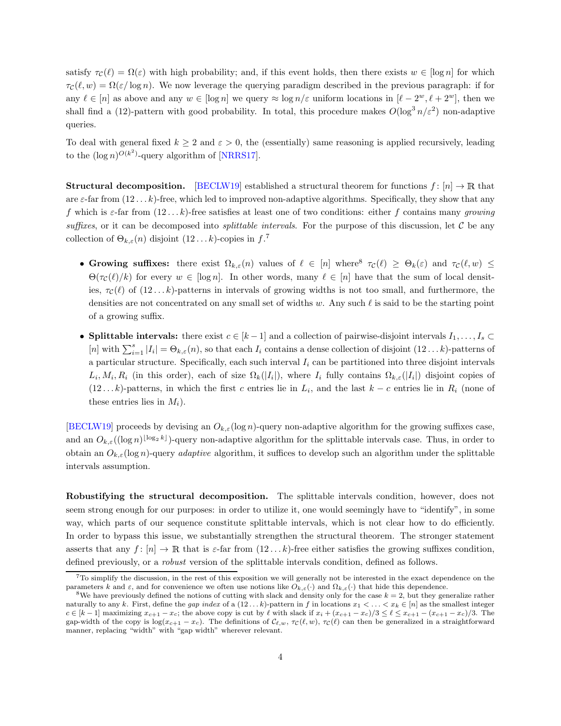satisfy  $\tau_c(\ell) = \Omega(\varepsilon)$  with high probability; and, if this event holds, then there exists  $w \in [\log n]$  for which  $\tau_c(\ell, w) = \Omega(\varepsilon/\log n)$ . We now leverage the querying paradigm described in the previous paragraph: if for any  $\ell \in [n]$  as above and any  $w \in [\log n]$  we query  $\approx \log n/\varepsilon$  uniform locations in  $[\ell - 2^w, \ell + 2^w]$ , then we shall find a (12)-pattern with good probability. In total, this procedure makes  $O(\log^3 n/\varepsilon^2)$  non-adaptive queries.

To deal with general fixed  $k \geq 2$  and  $\varepsilon > 0$ , the (essentially) same reasoning is applied recursively, leading to the  $(\log n)^{O(k^2)}$ -query algorithm of [\[NRRS17](#page-20-1)].

**Structural decomposition.** [\[BECLW19](#page-19-0)] established a structural theorem for functions  $f : [n] \to \mathbb{R}$  that are  $\varepsilon$ -far from  $(12 \ldots k)$ -free, which led to improved non-adaptive algorithms. Specifically, they show that any f which is  $\varepsilon$ -far from  $(12...k)$ -free satisfies at least one of two conditions: either f contains many growing suffixes, or it can be decomposed into *splittable intervals*. For the purpose of this discussion, let  $C$  be any collection of  $\Theta_{k,\varepsilon}(n)$  disjoint  $(12...k)$ -copies in  $f^{\mathcal{X}}$ .

- Growing suffixes: there exist  $\Omega_{k,\varepsilon}(n)$  values of  $\ell \in [n]$  where  $\tau_{\mathcal{C}}(\ell) \geq \Theta_k(\varepsilon)$  and  $\tau_{\mathcal{C}}(\ell,w) \leq$  $\Theta(\tau_{\mathcal{C}}(\ell)/k)$  for every  $w \in [\log n]$ . In other words, many  $\ell \in [n]$  have that the sum of local densities,  $\tau_{\mathcal{C}}(\ell)$  of  $(12...k)$ -patterns in intervals of growing widths is not too small, and furthermore, the densities are not concentrated on any small set of widths w. Any such  $\ell$  is said to be the starting point of a growing suffix.
- Splittable intervals: there exist  $c \in [k-1]$  and a collection of pairwise-disjoint intervals  $I_1, \ldots, I_s \subset$ [n] with  $\sum_{i=1}^{s} |I_i| = \Theta_{k,\varepsilon}(n)$ , so that each  $I_i$  contains a dense collection of disjoint  $(12...k)$ -patterns of a particular structure. Specifically, each such interval  $I_i$  can be partitioned into three disjoint intervals  $L_i, M_i, R_i$  (in this order), each of size  $\Omega_k(|I_i|)$ , where  $I_i$  fully contains  $\Omega_{k,\varepsilon}(|I_i|)$  disjoint copies of  $(12...k)$ -patterns, in which the first c entries lie in  $L_i$ , and the last  $k - c$  entries lie in  $R_i$  (none of these entries lies in  $M_i$ ).

[\[BECLW19](#page-19-0)] proceeds by devising an  $O_{k,\varepsilon}(\log n)$ -query non-adaptive algorithm for the growing suffixes case, and an  $O_{k,\varepsilon}((\log n)^{\lfloor \log_2 k \rfloor})$ -query non-adaptive algorithm for the splittable intervals case. Thus, in order to obtain an  $O_{k,\varepsilon}(\log n)$ -query *adaptive* algorithm, it suffices to develop such an algorithm under the splittable intervals assumption.

Robustifying the structural decomposition. The splittable intervals condition, however, does not seem strong enough for our purposes: in order to utilize it, one would seemingly have to "identify", in some way, which parts of our sequence constitute splittable intervals, which is not clear how to do efficiently. In order to bypass this issue, we substantially strengthen the structural theorem. The stronger statement asserts that any  $f: [n] \to \mathbb{R}$  that is  $\varepsilon$ -far from  $(12 \dots k)$ -free either satisfies the growing suffixes condition, defined previously, or a robust version of the splittable intervals condition, defined as follows.

<span id="page-4-0"></span> $7T\sigma$  simplify the discussion, in the rest of this exposition we will generally not be interested in the exact dependence on the parameters k and  $\varepsilon$ , and for convenience we often use notions like  $O_{k,\varepsilon}(\cdot)$  and  $\Omega_{k,\varepsilon}(\cdot)$  that hide this dependence.

<span id="page-4-1"></span><sup>&</sup>lt;sup>8</sup>We have previously defined the notions of cutting with slack and density only for the case  $k = 2$ , but they generalize rather naturally to any k. First, define the gap index of a  $(12...k)$ -pattern in f in locations  $x_1 < ... < x_k \in [n]$  as the smallest integer  $c \in [k-1]$  maximizing  $x_{c+1} - x_c$ ; the above copy is cut by  $\ell$  with slack if  $x_i + (x_{c+1} - x_c)/3 \leq \ell \leq x_{c+1} - (x_{c+1} - x_c)/3$ . The gap-width of the copy is log( $x_{c+1} - x_c$ ). The definitions of  $\mathcal{C}_{\ell,w}$ ,  $\tau_{\mathcal{C}}(\ell,w)$ ,  $\tau_{\mathcal{C}}(\ell)$  can then be generalized in a straightforward manner, replacing "width" with "gap width" wherever relevant.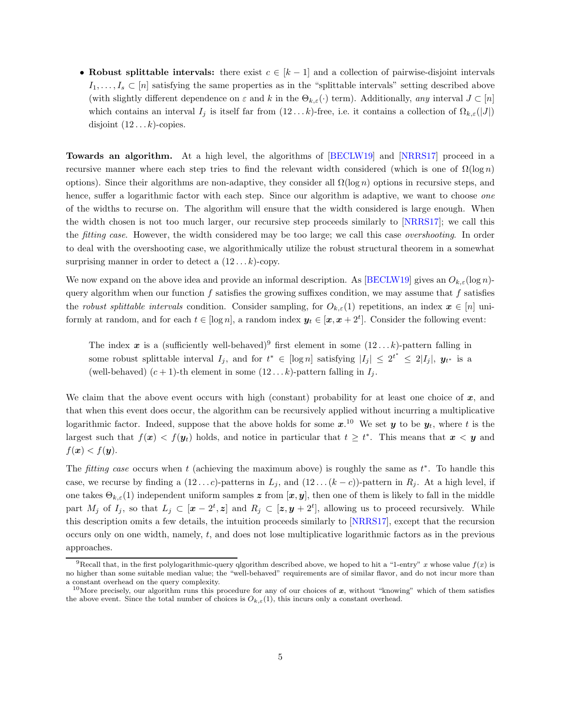• Robust splittable intervals: there exist  $c \in [k-1]$  and a collection of pairwise-disjoint intervals  $I_1, \ldots, I_s \subset [n]$  satisfying the same properties as in the "splittable intervals" setting described above (with slightly different dependence on  $\varepsilon$  and k in the  $\Theta_{k,\varepsilon}(\cdot)$  term). Additionally, any interval  $J \subset [n]$ which contains an interval  $I_j$  is itself far from  $(12...k)$ -free, i.e. it contains a collection of  $\Omega_{k,\varepsilon}(|J|)$ disjoint  $(12...k)$ -copies.

Towards an algorithm. At a high level, the algorithms of [\[BECLW19\]](#page-19-0) and [\[NRRS17\]](#page-20-1) proceed in a recursive manner where each step tries to find the relevant width considered (which is one of  $\Omega(\log n)$ options). Since their algorithms are non-adaptive, they consider all  $\Omega(\log n)$  options in recursive steps, and hence, suffer a logarithmic factor with each step. Since our algorithm is adaptive, we want to choose one of the widths to recurse on. The algorithm will ensure that the width considered is large enough. When the width chosen is not too much larger, our recursive step proceeds similarly to [\[NRRS17](#page-20-1)]; we call this the *fitting case*. However, the width considered may be too large; we call this case *overshooting*. In order to deal with the overshooting case, we algorithmically utilize the robust structural theorem in a somewhat surprising manner in order to detect a  $(12...k)$ -copy.

We now expand on the above idea and provide an informal description. As [\[BECLW19\]](#page-19-0) gives an  $O_{k,\varepsilon}(\log n)$ query algorithm when our function f satisfies the growing suffixes condition, we may assume that f satisfies the robust splittable intervals condition. Consider sampling, for  $O_{k,\varepsilon}(1)$  repetitions, an index  $x \in [n]$  uniformly at random, and for each  $t \in [\log n]$ , a random index  $y_t \in [x, x + 2^t]$ . Consider the following event:

The index x is a (sufficiently well-behaved)<sup>[9](#page-5-0)</sup> first element in some  $(12...k)$ -pattern falling in some robust splittable interval  $I_j$ , and for  $t^* \in [\log n]$  satisfying  $|I_j| \leq 2^{t^*} \leq 2|I_j|$ ,  $y_{t^*}$  is a (well-behaved)  $(c + 1)$ -th element in some  $(12...k)$ -pattern falling in  $I_j$ .

We claim that the above event occurs with high (constant) probability for at least one choice of  $x$ , and that when this event does occur, the algorithm can be recursively applied without incurring a multiplicative logarithmic factor. Indeed, suppose that the above holds for some  $x^{10}$  $x^{10}$  $x^{10}$  We set  $y$  to be  $y_t$ , where t is the largest such that  $f(x) < f(y_t)$  holds, and notice in particular that  $t \geq t^*$ . This means that  $x < y$  and  $f(\boldsymbol{x}) < f(\boldsymbol{y}).$ 

The fitting case occurs when t (achieving the maximum above) is roughly the same as  $t^*$ . To handle this case, we recurse by finding a  $(12...c)$ -patterns in  $L_j$ , and  $(12... (k - c))$ -pattern in  $R_j$ . At a high level, if one takes  $\Theta_{k,\varepsilon}(1)$  independent uniform samples z from  $[x, y]$ , then one of them is likely to fall in the middle part  $M_j$  of  $I_j$ , so that  $L_j \subset [x-2^t,z]$  and  $R_j \subset [z, y+2^t]$ , allowing us to proceed recursively. While this description omits a few details, the intuition proceeds similarly to [\[NRRS17\]](#page-20-1), except that the recursion occurs only on one width, namely, t, and does not lose multiplicative logarithmic factors as in the previous approaches.

<span id="page-5-0"></span><sup>&</sup>lt;sup>9</sup>Recall that, in the first polylogarithmic-query qlgorithm described above, we hoped to hit a "1-entry" x whose value  $f(x)$  is no higher than some suitable median value; the "well-behaved" requirements are of similar flavor, and do not incur more than a constant overhead on the query complexity.

<span id="page-5-1"></span><sup>&</sup>lt;sup>10</sup>More precisely, our algorithm runs this procedure for any of our choices of  $x$ , without "knowing" which of them satisfies the above event. Since the total number of choices is  $O_{k,\varepsilon}(1)$ , this incurs only a constant overhead.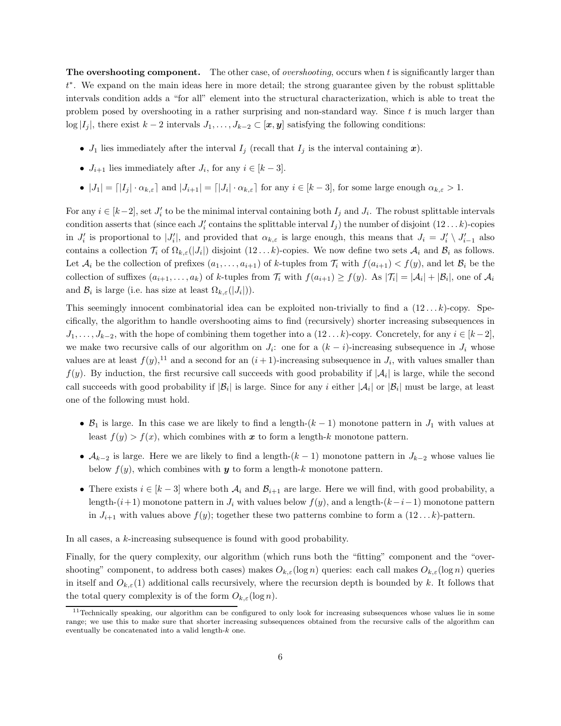**The overshooting component.** The other case, of *overshooting*, occurs when t is significantly larger than t ∗ . We expand on the main ideas here in more detail; the strong guarantee given by the robust splittable intervals condition adds a "for all" element into the structural characterization, which is able to treat the problem posed by overshooting in a rather surprising and non-standard way. Since  $t$  is much larger than  $\log |I_j|$ , there exist  $k-2$  intervals  $J_1, \ldots, J_{k-2} \subset [\mathbf{x}, \mathbf{y}]$  satisfying the following conditions:

- $J_1$  lies immediately after the interval  $I_j$  (recall that  $I_j$  is the interval containing  $\boldsymbol{x}$ ).
- $J_{i+1}$  lies immediately after  $J_i$ , for any  $i \in [k-3]$ .
- $\bullet$   $|J_1| = |I_j| \cdot \alpha_{k,\varepsilon}|$  and  $|J_{i+1}| = |J_i| \cdot \alpha_{k,\varepsilon}|$  for any  $i \in [k-3]$ , for some large enough  $\alpha_{k,\varepsilon} > 1$ .

For any  $i \in [k-2]$ , set  $J'_i$  to be the minimal interval containing both  $I_j$  and  $J_i$ . The robust splittable intervals condition asserts that (since each  $J_i'$  contains the splittable interval  $I_j$ ) the number of disjoint  $(12...k)$ -copies in  $J'_i$  is proportional to  $|J'_i|$ , and provided that  $\alpha_{k,\varepsilon}$  is large enough, this means that  $J_i = J'_i \setminus J'_{i-1}$  also contains a collection  $\mathcal{T}_i$  of  $\Omega_{k,\varepsilon}(|J_i|)$  disjoint  $(12 \dots k)$ -copies. We now define two sets  $\mathcal{A}_i$  and  $\mathcal{B}_i$  as follows. Let  $\mathcal{A}_i$  be the collection of prefixes  $(a_1, \ldots, a_{i+1})$  of k-tuples from  $\mathcal{T}_i$  with  $f(a_{i+1}) < f(y)$ , and let  $\mathcal{B}_i$  be the collection of suffixes  $(a_{i+1},..., a_k)$  of k-tuples from  $\mathcal{T}_i$  with  $f(a_{i+1}) \geq f(y)$ . As  $|\mathcal{T}_i| = |\mathcal{A}_i| + |\mathcal{B}_i|$ , one of  $\mathcal{A}_i$ and  $\mathcal{B}_i$  is large (i.e. has size at least  $\Omega_{k,\varepsilon}(|J_i|)$ ).

This seemingly innocent combinatorial idea can be exploited non-trivially to find a  $(12...k)$ -copy. Specifically, the algorithm to handle overshooting aims to find (recursively) shorter increasing subsequences in  $J_1, \ldots, J_{k-2}$ , with the hope of combining them together into a  $(12 \ldots k)$ -copy. Concretely, for any  $i \in [k-2]$ , we make two recursive calls of our algorithm on  $J_i$ : one for a  $(k-i)$ -increasing subsequence in  $J_i$  whose values are at least  $f(y)$ ,<sup>[11](#page-6-0)</sup> and a second for an  $(i + 1)$ -increasing subsequence in  $J_i$ , with values smaller than  $f(y)$ . By induction, the first recursive call succeeds with good probability if  $|\mathcal{A}_i|$  is large, while the second call succeeds with good probability if  $|\mathcal{B}_i|$  is large. Since for any i either  $|\mathcal{A}_i|$  or  $|\mathcal{B}_i|$  must be large, at least one of the following must hold.

- $\mathcal{B}_1$  is large. In this case we are likely to find a length- $(k-1)$  monotone pattern in  $J_1$  with values at least  $f(y) > f(x)$ , which combines with x to form a length-k monotone pattern.
- $\mathcal{A}_{k-2}$  is large. Here we are likely to find a length- $(k-1)$  monotone pattern in  $J_{k-2}$  whose values lie below  $f(y)$ , which combines with  $y$  to form a length-k monotone pattern.
- There exists  $i \in [k-3]$  where both  $A_i$  and  $B_{i+1}$  are large. Here we will find, with good probability, a length-(i+1) monotone pattern in  $J_i$  with values below  $f(y)$ , and a length-( $k-i-1$ ) monotone pattern in  $J_{i+1}$  with values above  $f(y)$ ; together these two patterns combine to form a  $(12...k)$ -pattern.

In all cases, a  $k$ -increasing subsequence is found with good probability.

Finally, for the query complexity, our algorithm (which runs both the "fitting" component and the "overshooting" component, to address both cases) makes  $O_{k,\varepsilon}(\log n)$  queries: each call makes  $O_{k,\varepsilon}(\log n)$  queries in itself and  $O_{k,\varepsilon}(1)$  additional calls recursively, where the recursion depth is bounded by k. It follows that the total query complexity is of the form  $O_{k,\varepsilon}(\log n)$ .

<span id="page-6-0"></span> $11$ Technically speaking, our algorithm can be configured to only look for increasing subsequences whose values lie in some range; we use this to make sure that shorter increasing subsequences obtained from the recursive calls of the algorithm can eventually be concatenated into a valid length-k one.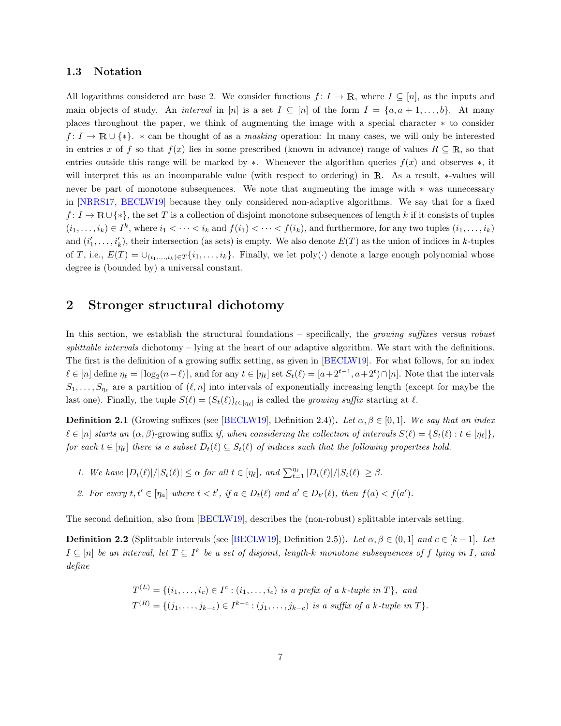#### 1.3 Notation

All logarithms considered are base 2. We consider functions  $f: I \to \mathbb{R}$ , where  $I \subseteq [n]$ , as the inputs and main objects of study. An *interval* in [n] is a set  $I \subseteq [n]$  of the form  $I = \{a, a+1, \ldots, b\}$ . At many places throughout the paper, we think of augmenting the image with a special character ∗ to consider  $f: I \to \mathbb{R} \cup \{*\}.$  \* can be thought of as a masking operation: In many cases, we will only be interested in entries x of f so that  $f(x)$  lies in some prescribed (known in advance) range of values  $R \subseteq \mathbb{R}$ , so that entries outside this range will be marked by  $\ast$ . Whenever the algorithm queries  $f(x)$  and observes  $\ast$ , it will interpret this as an incomparable value (with respect to ordering) in <sup>R</sup>. As a result, ∗-values will never be part of monotone subsequences. We note that augmenting the image with ∗ was unnecessary in [\[NRRS17,](#page-20-1) [BECLW19](#page-19-0)] because they only considered non-adaptive algorithms. We say that for a fixed  $f: I \to \mathbb{R} \cup \{*\}$ , the set T is a collection of disjoint monotone subsequences of length k if it consists of tuples  $(i_1,\ldots,i_k) \in I^k$ , where  $i_1 < \cdots < i_k$  and  $f(i_1) < \cdots < f(i_k)$ , and furthermore, for any two tuples  $(i_1,\ldots,i_k)$ and  $(i'_1, \ldots, i'_k)$ , their intersection (as sets) is empty. We also denote  $E(T)$  as the union of indices in k-tuples of T, i.e.,  $E(T) = \bigcup_{(i_1,\ldots,i_k)\in T} \{i_1,\ldots,i_k\}$ . Finally, we let poly(·) denote a large enough polynomial whose degree is (bounded by) a universal constant.

# 2 Stronger structural dichotomy

In this section, we establish the structural foundations – specifically, the *growing suffixes* versus *robust* splittable intervals dichotomy – lying at the heart of our adaptive algorithm. We start with the definitions. The first is the definition of a growing suffix setting, as given in [\[BECLW19](#page-19-0)]. For what follows, for an index  $\ell \in [n]$  define  $\eta_{\ell} = \lceil \log_2(n-\ell) \rceil$ , and for any  $t \in [\eta_{\ell}]$  set  $S_t(\ell) = [a+2^{t-1}, a+2^t) \cap [n]$ . Note that the intervals  $S_1, \ldots, S_{\eta_{\ell}}$  are a partition of  $(\ell, n]$  into intervals of exponentially increasing length (except for maybe the last one). Finally, the tuple  $S(\ell) = (S_t(\ell))_{t \in [\eta_\ell]}$  is called the *growing suffix* starting at  $\ell$ .

<span id="page-7-0"></span>**Definition 2.1** (Growing suffixes (see [\[BECLW19\]](#page-19-0), Definition 2.4)). Let  $\alpha, \beta \in [0, 1]$ . We say that an index  $\ell \in [n]$  starts an  $(\alpha, \beta)$ -growing suffix if, when considering the collection of intervals  $S(\ell) = \{S_t(\ell) : t \in [n_\ell]\},$ for each  $t \in [\eta_\ell]$  there is a subset  $D_t(\ell) \subseteq S_t(\ell)$  of indices such that the following properties hold.

- 1. We have  $|D_t(\ell)|/|S_t(\ell)| \leq \alpha$  for all  $t \in [\eta_\ell]$ , and  $\sum_{t=1}^{\eta_\ell} |D_t(\ell)|/|S_t(\ell)| \geq \beta$ .
- 2. For every  $t, t' \in [\eta_a]$  where  $t < t'$ , if  $a \in D_t(\ell)$  and  $a' \in D_{t'}(\ell)$ , then  $f(a) < f(a')$ .

<span id="page-7-1"></span>The second definition, also from [\[BECLW19](#page-19-0)], describes the (non-robust) splittable intervals setting.

**Definition 2.2** (Splittable intervals (see [\[BECLW19\]](#page-19-0), Definition 2.5)). Let  $\alpha, \beta \in (0,1]$  and  $c \in [k-1]$ . Let  $I\subseteq [n]$  be an interval, let  $T\subseteq I^k$  be a set of disjoint, length-k monotone subsequences of f lying in I, and define

$$
T^{(L)} = \{(i_1, \ldots, i_c) \in I^c : (i_1, \ldots, i_c) \text{ is a prefix of a } k \text{-tuple in } T\}, \text{ and}
$$
  

$$
T^{(R)} = \{(j_1, \ldots, j_{k-c}) \in I^{k-c} : (j_1, \ldots, j_{k-c}) \text{ is a suffix of a } k \text{-tuple in } T\}.
$$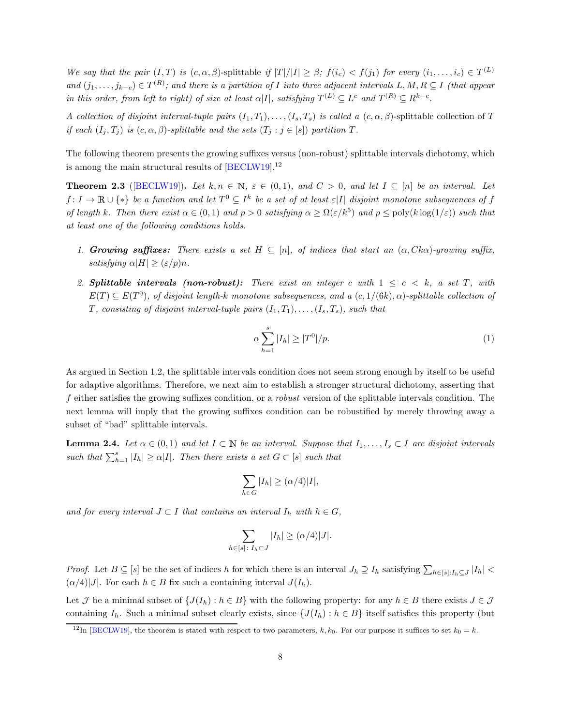We say that the pair  $(I, T)$  is  $(c, \alpha, \beta)$ -splittable if  $|T|/|I| \geq \beta$ ;  $f(i_c) < f(j_1)$  for every  $(i_1, \ldots, i_c) \in T^{(L)}$ and  $(j_1,\ldots,j_{k-c})\in T^{(R)}$ ; and there is a partition of I into three adjacent intervals  $L, M, R\subseteq I$  (that appear in this order, from left to right) of size at least  $\alpha|I|$ , satisfying  $T^{(L)} \subseteq L^c$  and  $T^{(R)} \subseteq R^{k-c}$ .

A collection of disjoint interval-tuple pairs  $(I_1, T_1), \ldots, (I_s, T_s)$  is called a  $(c, \alpha, \beta)$ -splittable collection of T if each  $(I_j, T_j)$  is  $(c, \alpha, \beta)$ -splittable and the sets  $(T_j : j \in [s])$  partition T.

<span id="page-8-1"></span>The following theorem presents the growing suffixes versus (non-robust) splittable intervals dichotomy, which is among the main structural results of [\[BECLW19\]](#page-19-0).[12](#page-8-0)

**Theorem 2.3** ([\[BECLW19](#page-19-0)]). Let  $k, n \in \mathbb{N}$ ,  $\varepsilon \in (0,1)$ , and  $C > 0$ , and let  $I \subseteq [n]$  be an interval. Let  $f: I \to \mathbb{R} \cup \{*\}$  be a function and let  $T^0 \subseteq I^k$  be a set of at least  $\varepsilon |I|$  disjoint monotone subsequences of f of length k. Then there exist  $\alpha \in (0,1)$  and  $p > 0$  satisfying  $\alpha \geq \Omega(\varepsilon/k^5)$  and  $p \leq \text{poly}(k \log(1/\varepsilon))$  such that at least one of the following conditions holds.

- <span id="page-8-3"></span><span id="page-8-2"></span>1. Growing suffixes: There exists a set  $H \subseteq [n]$ , of indices that start an  $(\alpha, Ck\alpha)$ -growing suffix, satisfying  $\alpha|H| > (\varepsilon/p)n$ .
- 2. Splittable intervals (non-robust): There exist an integer c with  $1 \leq c \leq k$ , a set T, with  $E(T) \subseteq E(T^0)$ , of disjoint length-k monotone subsequences, and a  $(c, 1/(6k), \alpha)$ -splittable collection of T, consisting of disjoint interval-tuple pairs  $(I_1, T_1), \ldots, (I_s, T_s)$ , such that

$$
\alpha \sum_{h=1}^{s} |I_h| \ge |T^0|/p. \tag{1}
$$

As argued in Section [1.2,](#page-3-1) the splittable intervals condition does not seem strong enough by itself to be useful for adaptive algorithms. Therefore, we next aim to establish a stronger structural dichotomy, asserting that f either satisfies the growing suffixes condition, or a robust version of the splittable intervals condition. The next lemma will imply that the growing suffixes condition can be robustified by merely throwing away a subset of "bad" splittable intervals.

<span id="page-8-4"></span>**Lemma 2.4.** Let  $\alpha \in (0,1)$  and let  $I \subset \mathbb{N}$  be an interval. Suppose that  $I_1, \ldots, I_s \subset I$  are disjoint intervals such that  $\sum_{h=1}^{s} |I_h| \ge \alpha |I|$ . Then there exists a set  $G \subset [s]$  such that

$$
\sum_{h \in G} |I_h| \ge (\alpha/4)|I|,
$$

and for every interval  $J \subset I$  that contains an interval  $I_h$  with  $h \in G$ ,

$$
\sum_{h \in [s] \colon I_h \subset J} |I_h| \ge (\alpha/4)|J|.
$$

*Proof.* Let  $B \subseteq [s]$  be the set of indices h for which there is an interval  $J_h \supseteq I_h$  satisfying  $\sum_{h \in [s]:I_h \subseteq J} |I_h|$  $(\alpha/4)|J|$ . For each  $h \in B$  fix such a containing interval  $J(I_h)$ .

Let J be a minimal subset of  $\{J(I_h): h \in B\}$  with the following property: for any  $h \in B$  there exists  $J \in \mathcal{J}$ containing  $I_h$ . Such a minimal subset clearly exists, since  $\{J(I_h): h \in B\}$  itself satisfies this property (but

<span id="page-8-0"></span><sup>&</sup>lt;sup>12</sup>In [\[BECLW19](#page-19-0)], the theorem is stated with respect to two parameters, k, k<sub>0</sub>. For our purpose it suffices to set  $k_0 = k$ .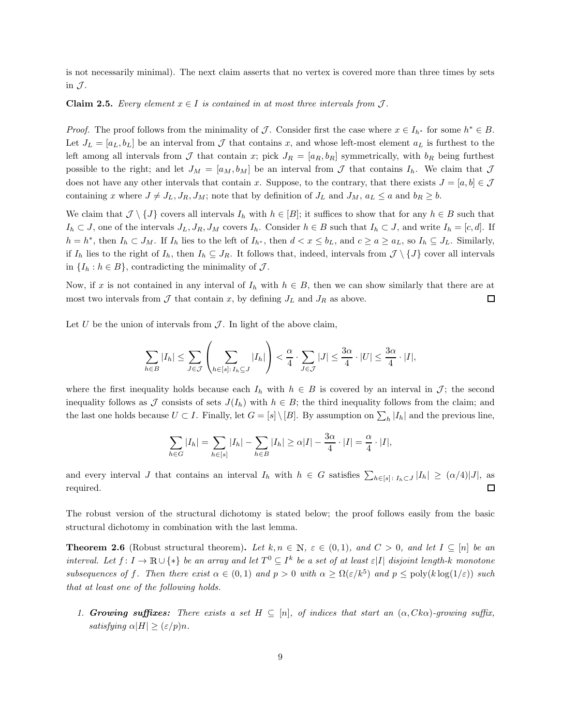is not necessarily minimal). The next claim asserts that no vertex is covered more than three times by sets in  $\mathcal{J}$ .

#### **Claim 2.5.** Every element  $x \in I$  is contained in at most three intervals from  $J$ .

*Proof.* The proof follows from the minimality of J. Consider first the case where  $x \in I_{h^*}$  for some  $h^* \in B$ . Let  $J_L = [a_L, b_L]$  be an interval from  $\mathcal J$  that contains x, and whose left-most element  $a_L$  is furthest to the left among all intervals from J that contain x; pick  $J_R = [a_R, b_R]$  symmetrically, with  $b_R$  being furthest possible to the right; and let  $J_M = [a_M, b_M]$  be an interval from  $\mathcal J$  that contains  $I_h$ . We claim that  $\mathcal J$ does not have any other intervals that contain x. Suppose, to the contrary, that there exists  $J = [a, b] \in \mathcal{J}$ containing x where  $J \neq J_L, J_R, J_M$ ; note that by definition of  $J_L$  and  $J_M$ ,  $a_L \leq a$  and  $b_R \geq b$ .

We claim that  $\mathcal{J} \setminus \{J\}$  covers all intervals  $I_h$  with  $h \in [B]$ ; it suffices to show that for any  $h \in B$  such that  $I_h \subset J$ , one of the intervals  $J_L, J_R, J_M$  covers  $I_h$ . Consider  $h \in B$  such that  $I_h \subset J$ , and write  $I_h = [c, d]$ . If  $h = h^*$ , then  $I_h \subset J_M$ . If  $I_h$  lies to the left of  $I_{h^*}$ , then  $d < x \leq b_L$ , and  $c \geq a \geq a_L$ , so  $I_h \subseteq J_L$ . Similarly, if  $I_h$  lies to the right of  $I_h$ , then  $I_h \subseteq J_R$ . It follows that, indeed, intervals from  $\mathcal{J} \setminus \{J\}$  cover all intervals in  $\{I_h : h \in B\}$ , contradicting the minimality of  $\mathcal{J}$ .

Now, if x is not contained in any interval of  $I_h$  with  $h \in B$ , then we can show similarly that there are at most two intervals from  $\mathcal J$  that contain x, by defining  $J_L$  and  $J_R$  as above.  $\Box$ 

Let U be the union of intervals from  $\mathcal J$ . In light of the above claim,

$$
\sum_{h\in B} |I_h| \leq \sum_{J\in\mathcal{J}} \left( \sum_{h\in[s]:\,I_h\subseteq J} |I_h| \right) < \frac{\alpha}{4} \cdot \sum_{J\in\mathcal{J}} |J| \leq \frac{3\alpha}{4} \cdot |U| \leq \frac{3\alpha}{4} \cdot |I|,
$$

where the first inequality holds because each  $I_h$  with  $h \in B$  is covered by an interval in  $\mathcal{J}$ ; the second inequality follows as J consists of sets  $J(I_h)$  with  $h \in B$ ; the third inequality follows from the claim; and the last one holds because  $U \subset I$ . Finally, let  $G = [s] \setminus [B]$ . By assumption on  $\sum_h |I_h|$  and the previous line,

$$
\sum_{h\in G}|I_h|=\sum_{h\in [s]}|I_h|-\sum_{h\in B}|I_h|\geq \alpha|I|-\frac{3\alpha}{4}\cdot|I|=\frac{\alpha}{4}\cdot|I|,
$$

and every interval J that contains an interval  $I_h$  with  $h \in G$  satisfies  $\sum_{h\in [s]: I_h\subset J} |I_h| \geq (\alpha/4)|J|$ , as required.  $\Box$ 

<span id="page-9-0"></span>The robust version of the structural dichotomy is stated below; the proof follows easily from the basic structural dichotomy in combination with the last lemma.

**Theorem 2.6** (Robust structural theorem). Let  $k, n \in \mathbb{N}$ ,  $\varepsilon \in (0,1)$ , and  $C > 0$ , and let  $I \subseteq [n]$  be an interval. Let  $f: I \to \mathbb{R} \cup \{*\}$  be an array and let  $T^0 \subseteq I^k$  be a set of at least  $\varepsilon|I|$  disjoint length-k monotone subsequences of f. Then there exist  $\alpha \in (0,1)$  and  $p > 0$  with  $\alpha \geq \Omega(\varepsilon/k^5)$  and  $p \leq \text{poly}(k \log(1/\varepsilon))$  such that at least one of the following holds.

1. Growing suffixes: There exists a set  $H \subseteq [n]$ , of indices that start an  $(\alpha, Ck\alpha)$ -growing suffix, satisfying  $\alpha|H| \geq (\varepsilon/p)n$ .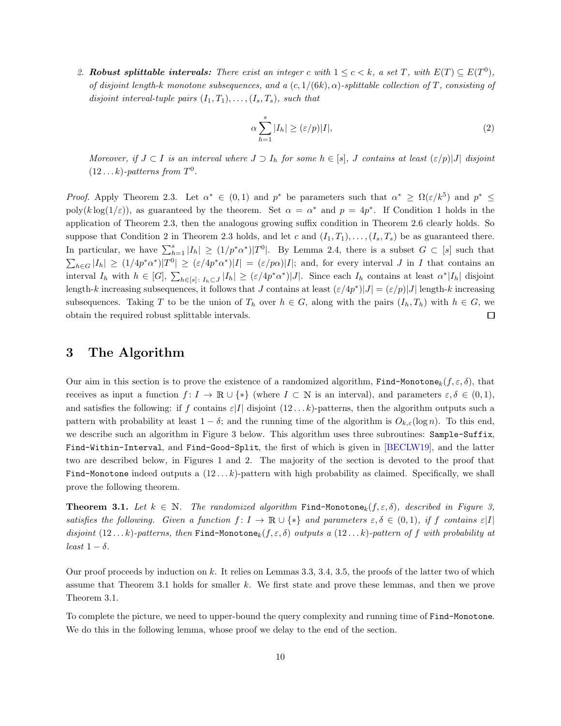2. Robust splittable intervals: There exist an integer c with  $1 \leq c < k$ , a set T, with  $E(T) \subseteq E(T^0)$ , of disjoint length-k monotone subsequences, and a  $(c, 1/(6k), \alpha)$ -splittable collection of T, consisting of disjoint interval-tuple pairs  $(I_1, T_1), \ldots, (I_s, T_s)$ , such that

<span id="page-10-2"></span>
$$
\alpha \sum_{h=1}^{s} |I_h| \ge (\varepsilon/p)|I|,\tag{2}
$$

Moreover, if  $J \subset I$  is an interval where  $J \supset I_h$  for some  $h \in [s]$ , J contains at least  $(\varepsilon/p)|J|$  disjoint  $(12...k)$ -patterns from  $T^0$ .

*Proof.* Apply Theorem [2.3.](#page-8-1) Let  $\alpha^* \in (0,1)$  and  $p^*$  be parameters such that  $\alpha^* \geq \Omega(\varepsilon/k^5)$  and  $p^* \leq$ poly(klog(1/ $\varepsilon$ )), as guaranteed by the theorem. Set  $\alpha = \alpha^*$  and  $p = 4p^*$ . If Condition [1](#page-8-2) holds in the application of Theorem [2.3,](#page-8-1) then the analogous growing suffix condition in Theorem [2.6](#page-9-0) clearly holds. So suppose that Condition [2](#page-8-3) in Theorem [2.3](#page-8-1) holds, and let c and  $(I_1, T_1), \ldots, (I_s, T_s)$  be as guaranteed there. In particular, we have  $\sum_{h=1}^{s} |I_h| \ge (1/p^*\alpha^*)|T^0|$ . By Lemma [2.4,](#page-8-4) there is a subset  $G \subset [s]$  such that  $\sum_{h\in G}|I_h| \geq (1/4p^*\alpha^*)|T^0| \geq (\varepsilon/4p^*\alpha^*)|I| = (\varepsilon/p\alpha)|I|$ ; and, for every interval J in I that contains an interval  $I_h$  with  $h \in [G], \sum_{h \in [s]: I_h \subset J} |I_h| \geq (\varepsilon/4p^*\alpha^*)|J|$ . Since each  $I_h$  contains at least  $\alpha^*|I_h|$  disjoint length-k increasing subsequences, it follows that J contains at least  $(\varepsilon/4p^*)|J| = (\varepsilon/p)|J|$  length-k increasing subsequences. Taking T to be the union of  $T_h$  over  $h \in G$ , along with the pairs  $(I_h, T_h)$  with  $h \in G$ , we obtain the required robust splittable intervals. □

## 3 The Algorithm

Our aim in this section is to prove the existence of a randomized algorithm, Find-Monotone<sub>k</sub> $(f, \varepsilon, \delta)$ , that receives as input a function  $f: I \to \mathbb{R} \cup \{*\}$  (where  $I \subset \mathbb{N}$  is an interval), and parameters  $\varepsilon, \delta \in (0, 1)$ , and satisfies the following: if f contains  $\varepsilon|I|$  disjoint  $(12...k)$ -patterns, then the algorithm outputs such a pattern with probability at least  $1 - \delta$ ; and the running time of the algorithm is  $O_{k,\varepsilon}(\log n)$ . To this end, we describe such an algorithm in Figure [3](#page-15-0) below. This algorithm uses three subroutines: Sample-Suffix, Find-Within-Interval, and Find-Good-Split, the first of which is given in [\[BECLW19\]](#page-19-0), and the latter two are described below, in Figures [1](#page-12-0) and [2.](#page-13-0) The majority of the section is devoted to the proof that Find-Monotone indeed outputs a  $(12...k)$ -pattern with high probability as claimed. Specifically, we shall prove the following theorem.

<span id="page-10-1"></span>**Theorem 3.1.** Let  $k \in \mathbb{N}$ . The randomized algorithm Find-Monotone<sub>k</sub> $(f, \varepsilon, \delta)$ , described in Figure [3,](#page-15-0) satisfies the following. Given a function  $f: I \to \mathbb{R} \cup \{*\}$  and parameters  $\varepsilon, \delta \in (0,1)$ , if f contains  $\varepsilon |I|$ disjoint  $(12...k)$ -patterns, then Find-Monotone $_k(f, \varepsilon, \delta)$  outputs a  $(12...k)$ -pattern of f with probability at least  $1 - \delta$ .

Our proof proceeds by induction on k. It relies on Lemmas [3.3,](#page-11-0) [3.4,](#page-11-1) [3.5,](#page-13-1) the proofs of the latter two of which assume that Theorem [3.1](#page-10-1) holds for smaller k. We first state and prove these lemmas, and then we prove Theorem [3.1.](#page-10-1)

<span id="page-10-0"></span>To complete the picture, we need to upper-bound the query complexity and running time of Find-Monotone. We do this in the following lemma, whose proof we delay to the end of the section.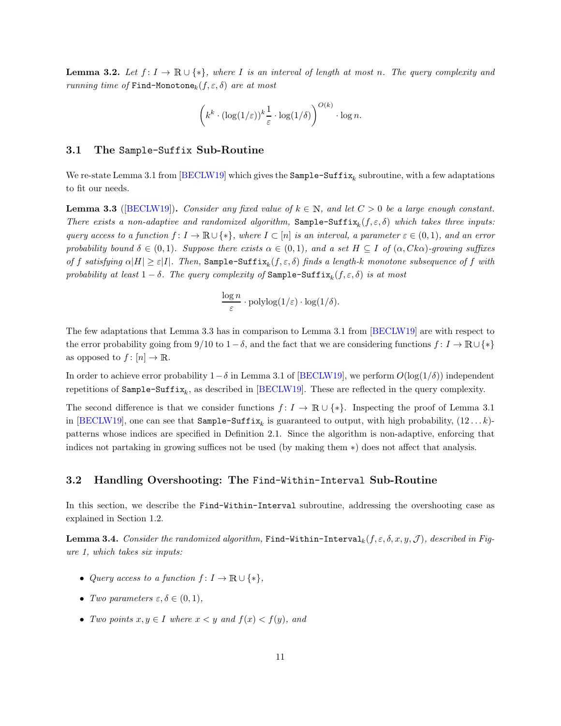**Lemma 3.2.** Let  $f: I \to \mathbb{R} \cup \{*\}$ , where I is an interval of length at most n. The query complexity and running time of Find-Monotone<sub>k</sub> $(f, \varepsilon, \delta)$  are at most

$$
\left(k^k \cdot (\log(1/\varepsilon))^k \frac{1}{\varepsilon} \cdot \log(1/\delta) \right)^{O(k)} \cdot \log n.
$$

### 3.1 The Sample-Suffix Sub-Routine

<span id="page-11-0"></span>We re-state Lemma 3.1 from  $\left[\text{BECLW19}\right]$  which gives the  $\texttt{Sample-Suffix}_k$  subroutine, with a few adaptations to fit our needs.

**Lemma 3.3** ([\[BECLW19\]](#page-19-0)). Consider any fixed value of  $k \in \mathbb{N}$ , and let  $C > 0$  be a large enough constant. There exists a non-adaptive and randomized algorithm, Sample-Suffix<sub>k</sub> $(f, \varepsilon, \delta)$  which takes three inputs: query access to a function  $f: I \to \mathbb{R} \cup \{*\}$ , where  $I \subset [n]$  is an interval, a parameter  $\varepsilon \in (0,1)$ , and an error probability bound  $\delta \in (0,1)$ . Suppose there exists  $\alpha \in (0,1)$ , and a set  $H \subseteq I$  of  $(\alpha, Ck\alpha)$ -growing suffixes of f satisfying  $\alpha|H| \geq \varepsilon|I|$ . Then, Sample-Suffix<sub>k</sub> $(f,\varepsilon,\delta)$  finds a length-k monotone subsequence of f with probability at least  $1-\delta$ . The query complexity of  $\texttt{Sample-Suffix}_k(f, \varepsilon, \delta)$  is at most

$$
\frac{\log n}{\varepsilon} \cdot \mathrm{polylog}(1/\varepsilon) \cdot \log(1/\delta).
$$

The few adaptations that Lemma [3.3](#page-11-0) has in comparison to Lemma 3.1 from [\[BECLW19\]](#page-19-0) are with respect to the error probability going from 9/10 to 1−δ, and the fact that we are considering functions  $f: I \to \mathbb{R} \cup \{*\}$ as opposed to  $f: [n] \to \mathbb{R}$ .

In order to achieve error probability  $1-\delta$  in Lemma 3.1 of [\[BECLW19\]](#page-19-0), we perform  $O(\log(1/\delta))$  independent repetitions of  $\texttt{Sample-Suffix}_k$ , as described in  $[\text{BECLW19}]$ . These are reflected in the query complexity.

The second difference is that we consider functions  $f: I \to \mathbb{R} \cup \{*\}$ . Inspecting the proof of Lemma 3.1 in [\[BECLW19\]](#page-19-0), one can see that  $\texttt{Sample-Suffix}_k$  is guaranteed to output, with high probability,  $(12 \dots k)$ patterns whose indices are specified in Definition [2.1.](#page-7-0) Since the algorithm is non-adaptive, enforcing that indices not partaking in growing suffices not be used (by making them ∗) does not affect that analysis.

#### 3.2 Handling Overshooting: The Find-Within-Interval Sub-Routine

<span id="page-11-1"></span>In this section, we describe the Find-Within-Interval subroutine, addressing the overshooting case as explained in Section [1.2.](#page-3-1)

**Lemma 3.4.** Consider the randomized algorithm, Find-Within-Interval<sub>k</sub>(f,  $\varepsilon$ ,  $\delta$ , x, y, J), described in Figure [1,](#page-12-0) which takes six inputs:

- Query access to a function  $f: I \to \mathbb{R} \cup \{*\},\$
- Two parameters  $\varepsilon, \delta \in (0, 1)$ ,
- Two points  $x, y \in I$  where  $x < y$  and  $f(x) < f(y)$ , and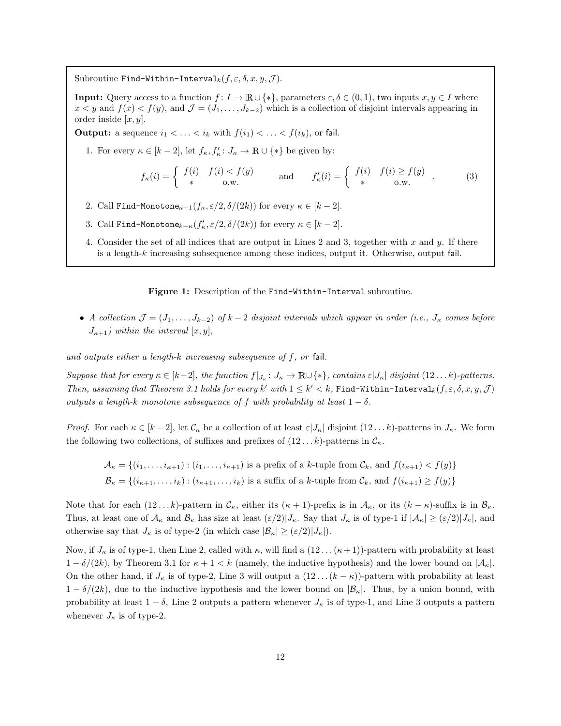<span id="page-12-0"></span>Subroutine Find-Within-Interval<sub>k</sub> $(f, \varepsilon, \delta, x, y, \mathcal{J})$ .

**Input:** Query access to a function  $f: I \to \mathbb{R} \cup \{*\}$ , parameters  $\varepsilon, \delta \in (0, 1)$ , two inputs  $x, y \in I$  where  $x < y$  and  $f(x) < f(y)$ , and  $\mathcal{J} = (J_1, \ldots, J_{k-2})$  which is a collection of disjoint intervals appearing in order inside  $[x, y]$ .

**Output:** a sequence  $i_1 < \ldots < i_k$  with  $f(i_1) < \ldots < f(i_k)$ , or fail.

1. For every  $\kappa \in [k-2]$ , let  $f_{\kappa}, f'_{\kappa} : J_{\kappa} \to \mathbb{R} \cup \{*\}$  be given by:

$$
f_{\kappa}(i) = \begin{cases} f(i) & f(i) < f(y) \\ * & \text{o.w.} \end{cases} \quad \text{and} \quad f_{\kappa}'(i) = \begin{cases} f(i) & f(i) \ge f(y) \\ * & \text{o.w.} \end{cases} \tag{3}
$$

- <span id="page-12-2"></span><span id="page-12-1"></span>2. Call Find-Monotone<sub> $\kappa+1(f_\kappa, \varepsilon/2, \delta/(2k))$  for every  $\kappa \in [k-2]$ .</sub>
- 3. Call Find-Monotone $_{k-\kappa}(f'_{\kappa}, \varepsilon/2, \delta/(2k))$  for every  $\kappa \in [k-2]$ .
- 4. Consider the set of all indices that are output in Lines [2](#page-12-1) and [3,](#page-12-2) together with x and y. If there is a length-k increasing subsequence among these indices, output it. Otherwise, output fail.

Figure 1: Description of the Find-Within-Interval subroutine.

• A collection  $\mathcal{J} = (J_1, \ldots, J_{k-2})$  of  $k-2$  disjoint intervals which appear in order (i.e.,  $J_k$  comes before  $J_{\kappa+1}$ ) within the interval  $[x, y]$ ,

and outputs either a length-k increasing subsequence of f, or fail.

Suppose that for every  $\kappa \in [k-2]$ , the function  $f|_{J_{\kappa}}: J_{\kappa} \to \mathbb{R} \cup \{*\}$ , contains  $\varepsilon |J_{\kappa}|$  disjoint  $(12...k)$ -patterns. Then, assuming that Theorem [3.1](#page-10-1) holds for every  $k'$  with  $1 \leq k' < k$ , Find-Within-Interval $_k(f, \varepsilon, \delta, x, y, \mathcal{J})$ outputs a length-k monotone subsequence of f with probability at least  $1 - \delta$ .

*Proof.* For each  $\kappa \in [k-2]$ , let  $\mathcal{C}_{\kappa}$  be a collection of at least  $\varepsilon |J_{\kappa}|$  disjoint  $(12...k)$ -patterns in  $J_{\kappa}$ . We form the following two collections, of suffixes and prefixes of  $(12 \dots k)$ -patterns in  $\mathcal{C}_{\kappa}$ .

$$
\mathcal{A}_{\kappa} = \{(i_1, \ldots, i_{\kappa+1}) : (i_1, \ldots, i_{\kappa+1}) \text{ is a prefix of a } k\text{-tuple from } \mathcal{C}_k \text{, and } f(i_{\kappa+1}) < f(y) \}
$$
\n
$$
\mathcal{B}_{\kappa} = \{(i_{\kappa+1}, \ldots, i_k) : (i_{\kappa+1}, \ldots, i_k) \text{ is a suffix of a } k\text{-tuple from } \mathcal{C}_k \text{, and } f(i_{\kappa+1}) \ge f(y) \}
$$

Note that for each  $(12...k)$ -pattern in  $\mathcal{C}_{\kappa}$ , either its  $(\kappa + 1)$ -prefix is in  $\mathcal{A}_{\kappa}$ , or its  $(k - \kappa)$ -suffix is in  $\mathcal{B}_{\kappa}$ . Thus, at least one of  $\mathcal{A}_{\kappa}$  and  $\mathcal{B}_{\kappa}$  has size at least  $(\varepsilon/2)|J_{\kappa}$ . Say that  $J_{\kappa}$  is of type-1 if  $|\mathcal{A}_{\kappa}| \geq (\varepsilon/2)|J_{\kappa}|$ , and otherwise say that  $J_{\kappa}$  is of type-2 (in which case  $|\mathcal{B}_{\kappa}| \geq (\varepsilon/2)|J_{\kappa}|$ ).

Now, if  $J_{\kappa}$  is of type-1, then Line [2,](#page-12-1) called with  $\kappa$ , will find a  $(12 \dots (\kappa+1))$ -pattern with probability at least  $1 - \delta/(2k)$ , by Theorem [3.1](#page-10-1) for  $\kappa + 1 < k$  (namely, the inductive hypothesis) and the lower bound on  $|\mathcal{A}_{\kappa}|$ . On the other hand, if  $J_{\kappa}$  is of type-2, Line [3](#page-12-2) will output a  $(12 \dots (k - \kappa))$ -pattern with probability at least  $1 - \delta/(2k)$ , due to the inductive hypothesis and the lower bound on  $|\mathcal{B}_{\kappa}|$ . Thus, by a union bound, with probability at least  $1 - \delta$ , Line [2](#page-12-1) outputs a pattern whenever  $J_{\kappa}$  is of type-1, and Line [3](#page-12-2) outputs a pattern whenever  $J_{\kappa}$  is of type-2.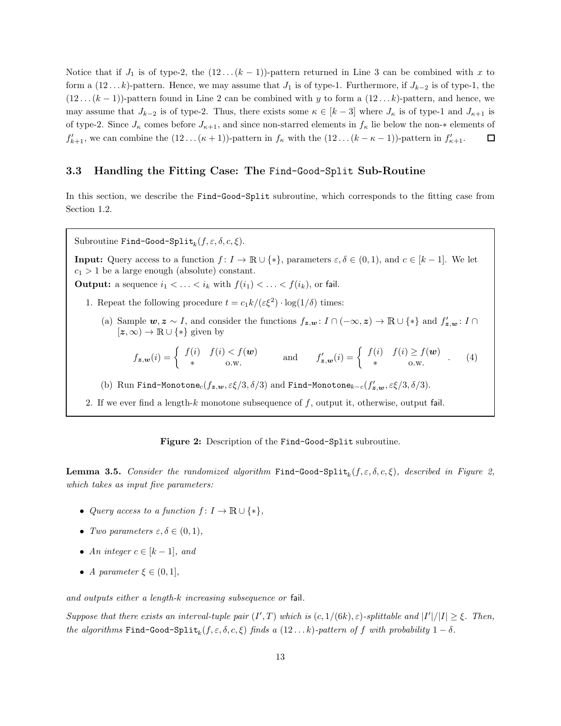Notice that if  $J_1$  is of type-2, the  $(12 \dots (k-1))$ -pattern returned in Line [3](#page-12-2) can be combined with x to form a  $(12...k)$ -pattern. Hence, we may assume that  $J_1$  is of type-1. Furthermore, if  $J_{k-2}$  is of type-1, the  $(12 \dots (k-1))$ -pattern found in Line [2](#page-12-1) can be combined with y to form a  $(12 \dots k)$ -pattern, and hence, we may assume that  $J_{k-2}$  is of type-2. Thus, there exists some  $\kappa \in [k-3]$  where  $J_{\kappa}$  is of type-1 and  $J_{\kappa+1}$  is of type-2. Since  $J_{\kappa}$  comes before  $J_{\kappa+1}$ , and since non-starred elements in  $f_{\kappa}$  lie below the non- $*$  elements of  $f'_{k+1}$ , we can combine the  $(12 \ldots (\kappa+1))$ -pattern in  $f_{\kappa}$  with the  $(12 \ldots (k - \kappa - 1))$ -pattern in  $f'_{\kappa+1}$ . □

### 3.3 Handling the Fitting Case: The Find-Good-Split Sub-Routine

<span id="page-13-0"></span>In this section, we describe the Find-Good-Split subroutine, which corresponds to the fitting case from Section [1.2.](#page-3-1)

Subroutine Find-Good-Split $_k(f, \varepsilon, \delta, c, \xi)$ .

**Input:** Query access to a function  $f: I \to \mathbb{R} \cup \{*\}$ , parameters  $\varepsilon, \delta \in (0, 1)$ , and  $c \in [k-1]$ . We let  $c_1 > 1$  be a large enough (absolute) constant.

<span id="page-13-2"></span>**Output:** a sequence  $i_1 < \ldots < i_k$  with  $f(i_1) < \ldots < f(i_k)$ , or fail.

- 1. Repeat the following procedure  $t = c_1 k / (\varepsilon \xi^2) \cdot \log(1/\delta)$  times:
	- (a) Sample  $w, z \sim I$ , and consider the functions  $f_{z,w}: I \cap (-\infty, z) \to \mathbb{R} \cup \{*\}$  and  $f'_{z,w}: I \cap$  $[z, \infty) \to \mathbb{R} \cup \{*\}$  given by

$$
f_{\mathbf{z},\mathbf{w}}(i) = \begin{cases} f(i) & f(i) < f(\mathbf{w}) \\ * & \text{o.w.} \end{cases} \quad \text{and} \quad f'_{\mathbf{z},\mathbf{w}}(i) = \begin{cases} f(i) & f(i) \ge f(\mathbf{w}) \\ * & \text{o.w.} \end{cases} \quad (4)
$$

<span id="page-13-3"></span>(b) Run Find-Monotone $_c(f_{\bm{z},\bm{w}},\varepsilon\xi/3,\delta/3)$  and Find-Monotone $_{k-c}(f'_{\bm{z},\bm{w}},\varepsilon\xi/3,\delta/3).$ 

2. If we ever find a length-k monotone subsequence of  $f$ , output it, otherwise, output fail.

Figure 2: Description of the Find-Good-Split subroutine.

<span id="page-13-1"></span>**Lemma 3.5.** Consider the randomized algorithm  $Find\text{-Good-Split}_k(f, \varepsilon, \delta, c, \xi)$ , described in Figure [2,](#page-13-0) which takes as input five parameters:

- Query access to a function  $f: I \to \mathbb{R} \cup \{*\},\$
- Two parameters  $\varepsilon, \delta \in (0, 1)$ ,
- An integer  $c \in [k-1]$ , and
- A parameter  $\xi \in (0,1],$

and outputs either a length-k increasing subsequence or fail.

Suppose that there exists an interval-tuple pair  $(I',T)$  which is  $(c,1/(6k),\varepsilon)$ -splittable and  $|I'|/|I| \geq \xi$ . Then, the algorithms  $Find-Good-Split_k(f, \varepsilon, \delta, c, \xi)$  finds a  $(12...k)$ -pattern of f with probability  $1-\delta$ .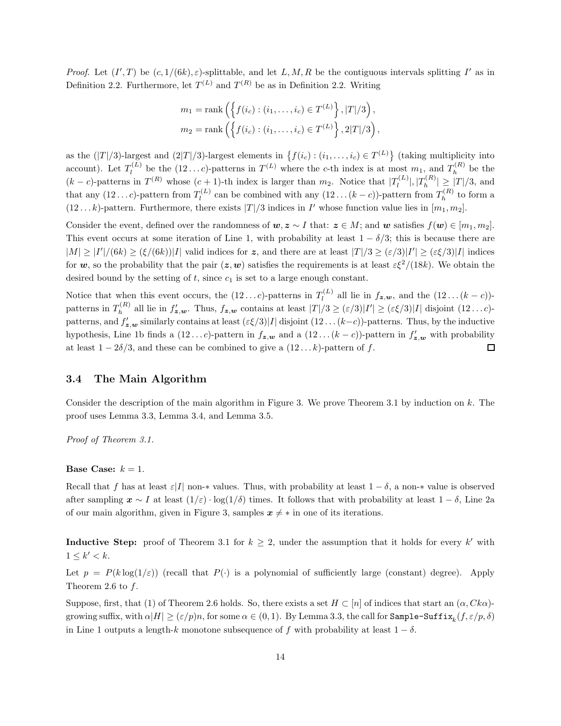Proof. Let  $(I',T)$  be  $(c, 1/(6k), \varepsilon)$ -splittable, and let L, M, R be the contiguous intervals splitting I' as in Definition [2.2.](#page-7-1) Furthermore, let  $T^{(L)}$  and  $T^{(R)}$  be as in Definition 2.2. Writing

$$
m_1 = \text{rank}\left(\left\{f(i_c) : (i_1, ..., i_c) \in T^{(L)}\right\}, |T|/3\right),
$$
  

$$
m_2 = \text{rank}\left(\left\{f(i_c) : (i_1, ..., i_c) \in T^{(L)}\right\}, 2|T|/3\right),
$$

as the  $(|T|/3)$ -largest and  $(2|T|/3)$ -largest elements in  $\{f(i_c) : (i_1, \ldots, i_c) \in T^{(L)}\}$  (taking multiplicity into account). Let  $T_l^{(L)}$  $\Gamma_l^{(L)}$  be the  $(12...c)$ -patterns in  $T^{(L)}$  where the c-th index is at most  $m_1$ , and  $T_h^{(R)}$  $h^{(n)}$  be the  $(k - c)$ -patterns in  $T^{(R)}$  whose  $(c + 1)$ -th index is larger than  $m_2$ . Notice that  $|T_l^{(L)}|$  $|I_{l}^{(L)}|,|T_{h}^{(R)}|$  $|T_{h}^{(n)}| \geq |T|/3$ , and that any  $(12...c)$ -pattern from  $T_l^{(L)}$  $\mathcal{L}_l^{(L)}$  can be combined with any  $(12 \dots (k-c))$ -pattern from  $T_h^{(R)}$  $h^{(R)}$  to form a  $(12...k)$ -pattern. Furthermore, there exists  $|T|/3$  indices in I' whose function value lies in  $[m_1, m_2]$ .

Consider the event, defined over the randomness of  $w, z \sim I$  that:  $z \in M$ ; and w satisfies  $f(w) \in [m_1, m_2]$ . This event occurs at some iteration of Line [1,](#page-13-2) with probability at least  $1 - \delta/3$ ; this is because there are  $|M| \ge |I'|/(6k) \ge (\xi/(6k))|I|$  valid indices for z, and there are at least  $|T|/3 \ge (\varepsilon/3)|I'| \ge (\varepsilon \xi/3)|I|$  indices for w, so the probability that the pair  $(z, w)$  satisfies the requirements is at least  $\varepsilon \xi^2/(18k)$ . We obtain the desired bound by the setting of  $t$ , since  $c_1$  is set to a large enough constant.

Notice that when this event occurs, the  $(12...c)$ -patterns in  $T_l^{(L)}$  $\int_l^{(L)}$  all lie in  $f_{\boldsymbol{z},\boldsymbol{w}}$ , and the  $(12\ldots(k-c))$ patterns in  $T_h^{(R)}$  $\int_h^{(R)}$  all lie in  $f'_{\mathbf{z},\mathbf{w}}$ . Thus,  $f_{\mathbf{z},\mathbf{w}}$  contains at least  $|T|/3 \geq (\varepsilon/3)|I'| \geq (\varepsilon \xi/3)|I|$  disjoint  $(12...c)$ patterns, and  $f'_{\mathbf{z},\mathbf{w}}$  similarly contains at least  $(\varepsilon \xi/3)|I|$  disjoint  $(12\ldots(k-c))$ -patterns. Thus, by the inductive hypothesis, Line [1b](#page-13-3) finds a  $(12...c)$ -pattern in  $f_{\mathbf{z},\mathbf{w}}$  and a  $(12... (k - c))$ -pattern in  $f'_{\mathbf{z},\mathbf{w}}$  with probability at least  $1 - 2\delta/3$ , and these can be combined to give a  $(12 \dots k)$ -pattern of f.  $\Box$ 

#### 3.4 The Main Algorithm

Consider the description of the main algorithm in Figure [3.](#page-15-0) We prove Theorem [3.1](#page-10-1) by induction on  $k$ . The proof uses Lemma [3.3,](#page-11-0) Lemma [3.4,](#page-11-1) and Lemma [3.5.](#page-13-1)

Proof of Theorem [3.1.](#page-10-1)

#### **Base Case:**  $k = 1$ .

Recall that f has at least  $\varepsilon|I|$  non- $*$  values. Thus, with probability at least  $1 - \delta$ , a non- $*$  value is observed after sampling  $x \sim I$  at least  $(1/\varepsilon) \cdot \log(1/\delta)$  times. It follows that with probability at least  $1 - \delta$ , Line [2a](#page-15-1) of our main algorithm, given in Figure [3,](#page-15-0) samples  $x \neq *$  in one of its iterations.

**Inductive Step:** proof of Theorem [3.1](#page-10-1) for  $k \geq 2$ , under the assumption that it holds for every k' with  $1 \leq k' < k$ .

Let  $p = P(k \log(1/\varepsilon))$  (recall that  $P(\cdot)$  is a polynomial of sufficiently large (constant) degree). Apply Theorem [2.6](#page-9-0) to f.

Suppose, first, that [\(1\)](#page-8-2) of Theorem [2.6](#page-9-0) holds. So, there exists a set  $H \subset [n]$  of indices that start an  $(\alpha, Ck\alpha)$ growing suffix, with  $\alpha|H|\geq(\varepsilon/p)n,$  for some  $\alpha\in(0,1).$  By Lemma [3.3,](#page-11-0) the call for  $\texttt{Sample-Suffix}_k(f,\varepsilon/p,\delta)$ in Line [1](#page-15-2) outputs a length-k monotone subsequence of f with probability at least  $1 - \delta$ .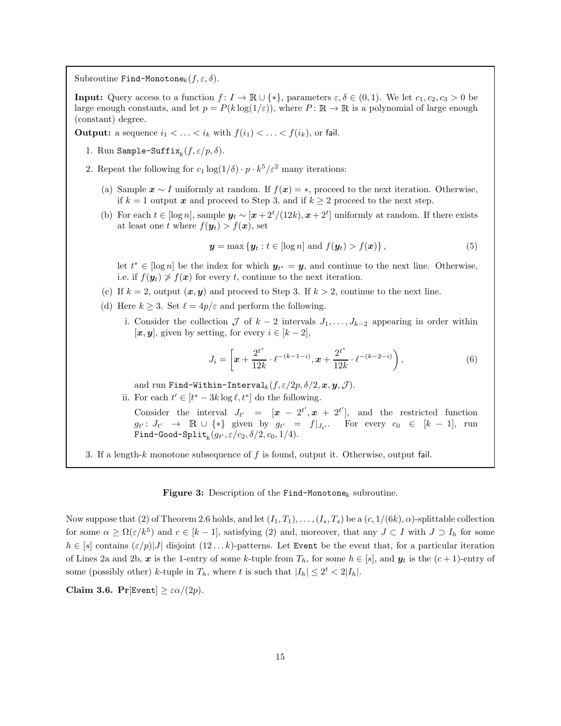<span id="page-15-0"></span>Subroutine Find-Monotone<sub>k</sub> $(f, \varepsilon, \delta)$ .

**Input:** Query access to a function  $f: I \to \mathbb{R} \cup \{*\}$ , parameters  $\varepsilon, \delta \in (0, 1)$ . We let  $c_1, c_2, c_3 > 0$  be large enough constants, and let  $p = P(k \log(1/\varepsilon))$ , where  $P: \mathbb{R} \to \mathbb{R}$  is a polynomial of large enough (constant) degree.

<span id="page-15-2"></span>**Output:** a sequence  $i_1 < \ldots < i_k$  with  $f(i_1) < \ldots < f(i_k)$ , or fail.

- <span id="page-15-5"></span>1. Run Sample-Suffix $_k(f, \varepsilon/p, \delta)$ .
- <span id="page-15-4"></span><span id="page-15-1"></span>2. Repeat the following for  $c_1 \log(1/\delta) \cdot p \cdot k^5/\varepsilon^2$  many iterations:
	- (a) Sample  $x \sim I$  uniformly at random. If  $f(x) = *$ , proceed to the next iteration. Otherwise, if  $k = 1$  output x and proceed to Step [3,](#page-15-3) and if  $k \geq 2$  proceed to the next step.
	- (b) For each  $t \in [\log n]$ , sample  $y_t \sim [x + 2^t/(12k), x + 2^t]$  uniformly at random. If there exists at least one t where  $f(\mathbf{y}_t) > f(\mathbf{x})$ , set

<span id="page-15-6"></span>
$$
\mathbf{y} = \max \left\{ \mathbf{y}_t : t \in [\log n] \text{ and } f(\mathbf{y}_t) > f(\mathbf{x}) \right\},\tag{5}
$$

let  $t^* \in [\log n]$  be the index for which  $y_{t^*} = y$ , and continue to the next line. Otherwise, i.e. if  $f(\mathbf{y}_t) \ngeq f(\mathbf{x})$  for every t, continue to the next iteration.

- <span id="page-15-7"></span>(c) If  $k = 2$ , output  $(x, y)$  and proceed to Step [3.](#page-15-3) If  $k > 2$ , continue to the next line.
- <span id="page-15-9"></span>(d) Here  $k \geq 3$ . Set  $\ell = 4p/\varepsilon$  and perform the following.
	- i. Consider the collection  $\mathcal J$  of  $k-2$  intervals  $J_1,\ldots,J_{k-2}$  appearing in order within  $[\boldsymbol{x}, \boldsymbol{y}]$ , given by setting, for every  $i \in [k-2]$ ,

<span id="page-15-8"></span>
$$
J_i = \left[ \boldsymbol{x} + \frac{2^{t^*}}{12k} \cdot \ell^{-(k-1-i)}, \boldsymbol{x} + \frac{2^{t^*}}{12k} \cdot \ell^{-(k-2-i)} \right),\tag{6}
$$

and run Find-Within-Interval<sub>k</sub> $(f, \varepsilon/2p, \delta/2, x, y, \mathcal{J})$ .

<span id="page-15-10"></span>ii. For each  $t' \in [t^* - 3k \log \ell, t^*]$  do the following.

Consider the interval  $J_{t'} = [\mathbf{x} - 2^{t'}, \mathbf{x} + 2^{t'}],$  and the restricted function  $g_{t'}: J_{t'} \rightarrow \mathbb{R} \cup \{*\}$  given by  $g_{t'} = f|_{J_{t'}}$ . For every  $c_0 \in [k-1]$ , run  $\texttt{Find-Good-Split}_k(g_{t'},\varepsilon/c_2,\delta/2,c_0,1/4).$ 

<span id="page-15-3"></span>3. If a length-k monotone subsequence of  $f$  is found, output it. Otherwise, output fail.

#### Figure 3: Description of the Find-Monotone<sub>k</sub> subroutine.

Now suppose that [\(2\)](#page-8-3) of Theorem [2.6](#page-9-0) holds, and let  $(I_1, T_1), \ldots, (I_s, T_s)$  be a  $(c, 1/(6k), \alpha)$ -splittable collection for some  $\alpha \geq \Omega(\varepsilon/k^5)$  and  $c \in [k-1]$ , satisfying [\(2\)](#page-10-2) and, moreover, that any  $J \subset I$  with  $J \supset I_h$  for some  $h \in [s]$  contains  $(\varepsilon/p)|J|$  disjoint  $(12...k)$ -patterns. Let Event be the event that, for a particular iteration of Lines [2a](#page-15-1) and [2b,](#page-15-4) x is the 1-entry of some k-tuple from  $T_h$ , for some  $h \in [s]$ , and  $y_t$  is the  $(c+1)$ -entry of some (possibly other) k-tuple in  $T_h$ , where t is such that  $|I_h| \leq 2^t < 2|I_h|$ .

Claim 3.6.  $Pr[Event] \geq \varepsilon \alpha/(2p)$ .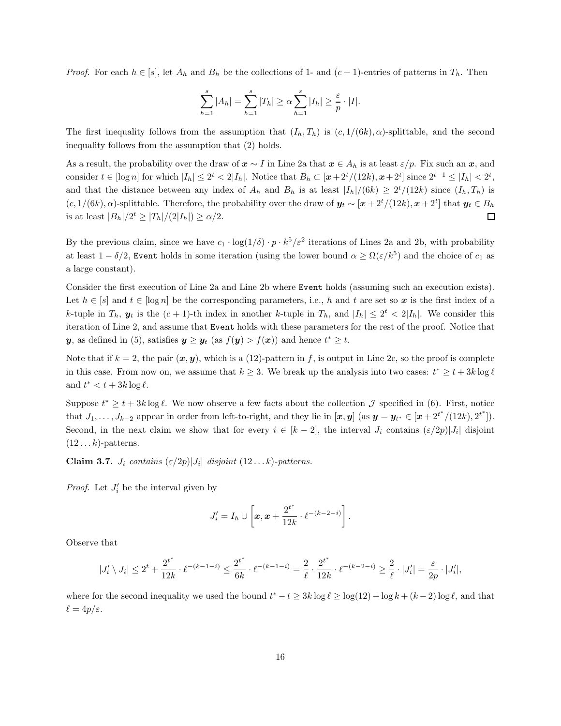*Proof.* For each  $h \in [s]$ , let  $A_h$  and  $B_h$  be the collections of 1- and  $(c + 1)$ -entries of patterns in  $T_h$ . Then

$$
\sum_{h=1}^s |A_h| = \sum_{h=1}^s |T_h| \ge \alpha \sum_{h=1}^s |I_h| \ge \frac{\varepsilon}{p} \cdot |I|.
$$

The first inequality follows from the assumption that  $(I_h, T_h)$  is  $(c, 1/(6k), \alpha)$ -splittable, and the second inequality follows from the assumption that [\(2\)](#page-10-2) holds.

As a result, the probability over the draw of  $x \sim I$  in Line [2a](#page-15-1) that  $x \in A_h$  is at least  $\varepsilon/p$ . Fix such an x, and consider  $t \in [\log n]$  for which  $|I_h| \leq 2^t < 2|I_h|$ . Notice that  $B_h \subset [x+2^t/(12k), x+2^t]$  since  $2^{t-1} \leq |I_h| < 2^t$ , and that the distance between any index of  $A_h$  and  $B_h$  is at least  $|I_h|/(6k) \geq 2^t/(12k)$  since  $(I_h, T_h)$  is  $(c, 1/(6k), \alpha)$ -splittable. Therefore, the probability over the draw of  $y_t \sim [x + 2^t/(12k), x + 2^t]$  that  $y_t \in B_h$ is at least  $|B_h|/2^t \geq |T_h|/(2|I_h|) \geq \alpha/2$ .  $\Box$ 

By the previous claim, since we have  $c_1 \cdot \log(1/\delta) \cdot p \cdot k^5/\varepsilon^2$  iterations of Lines [2a](#page-15-1) and [2b,](#page-15-4) with probability at least  $1-\delta/2$ , Event holds in some iteration (using the lower bound  $\alpha \geq \Omega(\varepsilon/k^5)$  and the choice of  $c_1$  as a large constant).

Consider the first execution of Line [2a](#page-15-1) and Line [2b](#page-15-4) where Event holds (assuming such an execution exists). Let  $h \in [s]$  and  $t \in [\log n]$  be the corresponding parameters, i.e., h and t are set so x is the first index of a k-tuple in  $T_h$ ,  $y_t$  is the  $(c + 1)$ -th index in another k-tuple in  $T_h$ , and  $|I_h| \leq 2^t < 2|I_h|$ . We consider this iteration of Line [2,](#page-15-5) and assume that Event holds with these parameters for the rest of the proof. Notice that y, as defined in [\(5\)](#page-15-6), satisfies  $y \ge y_t$  (as  $f(y) > f(x)$ ) and hence  $t^* \ge t$ .

Note that if  $k = 2$ , the pair  $(x, y)$ , which is a (12)-pattern in f, is output in Line [2c,](#page-15-7) so the proof is complete in this case. From now on, we assume that  $k \geq 3$ . We break up the analysis into two cases:  $t^* \geq t + 3k \log \ell$ and  $t^* < t + 3k \log \ell$ .

Suppose  $t^* \geq t + 3k \log \ell$ . We now observe a few facts about the collection  $\mathcal J$  specified in [\(6\)](#page-15-8). First, notice that  $J_1, \ldots, J_{k-2}$  appear in order from left-to-right, and they lie in  $[\mathbf{x}, \mathbf{y}]$  (as  $\mathbf{y} = \mathbf{y}_{t^*} \in [\mathbf{x} + 2^{t^*}/(12k), 2^{t^*}])$ . Second, in the next claim we show that for every  $i \in [k-2]$ , the interval  $J_i$  contains  $(\varepsilon/2p)|J_i|$  disjoint  $(12...k)$ -patterns.

**Claim 3.7.**  $J_i$  contains  $(\varepsilon/2p)|J_i|$  disjoint  $(12...k)$ -patterns.

*Proof.* Let  $J_i'$  be the interval given by

$$
J_i'=I_h\cup \left[x,x+\frac{2^{t^*}}{12k}\cdot \ell^{-(k-2-i)}\right].
$$

Observe that

$$
|J_i'\setminus J_i|\le 2^t+\frac{2^{t^*}}{12k}\cdot \ell^{-(k-1-i)}\le \frac{2^{t^*}}{6k}\cdot \ell^{-(k-1-i)}=\frac{2}{\ell}\cdot \frac{2^{t^*}}{12k}\cdot \ell^{-(k-2-i)}\ge \frac{2}{\ell}\cdot |J_i'|=\frac{\varepsilon}{2p}\cdot |J_i'|,
$$

where for the second inequality we used the bound  $t^* - t \geq 3k \log \ell \geq \log(12) + \log k + (k-2) \log \ell$ , and that  $\ell = 4p/\varepsilon$ .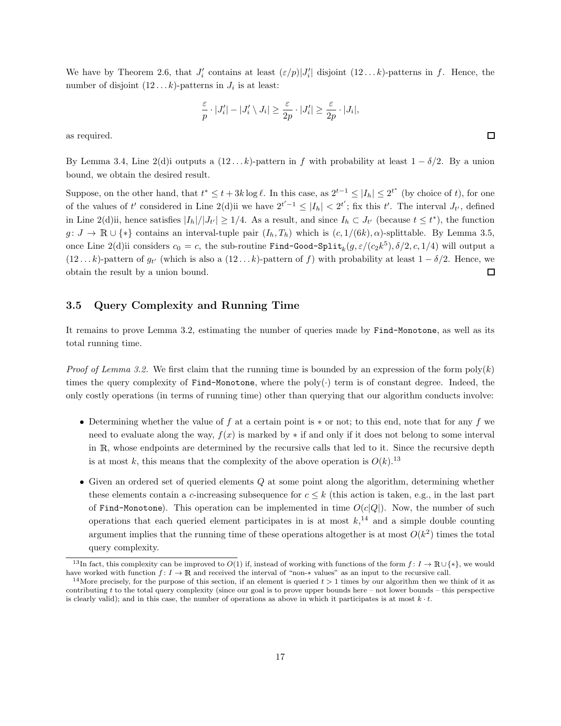We have by Theorem [2.6,](#page-9-0) that  $J_i'$  contains at least  $(\varepsilon/p)|J_i'|$  disjoint  $(12...k)$ -patterns in f. Hence, the number of disjoint  $(12...k)$ -patterns in  $J_i$  is at least:

$$
\frac{\varepsilon}{p} \cdot |J_i'| - |J_i' \setminus J_i| \ge \frac{\varepsilon}{2p} \cdot |J_i'| \ge \frac{\varepsilon}{2p} \cdot |J_i|,
$$

as required.

By Lemma [3.4,](#page-11-1) Line [2\(d\)i](#page-15-9) outputs a  $(12 \dots k)$ -pattern in f with probability at least  $1 - \delta/2$ . By a union bound, we obtain the desired result.

Suppose, on the other hand, that  $t^* \leq t + 3k \log \ell$ . In this case, as  $2^{t-1} \leq |I_h| \leq 2^{t^*}$  (by choice of t), for one of the values of t' considered in Line [2\(d\)ii](#page-15-10) we have  $2^{t'-1} \leq |I_h| < 2^{t'}$ ; fix this t'. The interval  $J_{t'}$ , defined in Line [2\(d\)ii,](#page-15-10) hence satisfies  $|I_h|/|J_{t'}| \ge 1/4$ . As a result, and since  $I_h \subset J_{t'}$  (because  $t \le t^*$ ), the function  $g: J \to \mathbb{R} \cup \{*\}$  contains an interval-tuple pair  $(I_h, T_h)$  which is  $(c, 1/(6k), \alpha)$ -splittable. By Lemma [3.5,](#page-13-1) once Line 2(d) ii considers  $c_0 = c$ , the sub-routine Find-Good-Split<sub>k</sub> $(g, \varepsilon/(c_2 k^5), \delta/2, c, 1/4)$  will output a  $(12...k)$ -pattern of  $g_t$  (which is also a  $(12...k)$ -pattern of f) with probability at least  $1-\delta/2$ . Hence, we obtain the result by a union bound. □

### 3.5 Query Complexity and Running Time

It remains to prove Lemma [3.2,](#page-10-0) estimating the number of queries made by Find-Monotone, as well as its total running time.

*Proof of Lemma [3.2.](#page-10-0)* We first claim that the running time is bounded by an expression of the form  $poly(k)$ times the query complexity of Find-Monotone, where the poly $(\cdot)$  term is of constant degree. Indeed, the only costly operations (in terms of running time) other than querying that our algorithm conducts involve:

- Determining whether the value of f at a certain point is  $*$  or not; to this end, note that for any f we need to evaluate along the way,  $f(x)$  is marked by  $*$  if and only if it does not belong to some interval in <sup>R</sup>, whose endpoints are determined by the recursive calls that led to it. Since the recursive depth is at most k, this means that the complexity of the above operation is  $O(k)$ .<sup>[13](#page-17-0)</sup>
- Given an ordered set of queried elements  $Q$  at some point along the algorithm, determining whether these elements contain a c-increasing subsequence for  $c \leq k$  (this action is taken, e.g., in the last part of Find-Monotone). This operation can be implemented in time  $O(c|Q|)$ . Now, the number of such operations that each queried element participates in is at most  $k<sup>14</sup>$  $k<sup>14</sup>$  $k<sup>14</sup>$  and a simple double counting argument implies that the running time of these operations altogether is at most  $O(k^2)$  times the total query complexity.

<span id="page-17-0"></span><sup>&</sup>lt;sup>13</sup>In fact, this complexity can be improved to  $O(1)$  if, instead of working with functions of the form  $f: I \to \mathbb{R} \cup \{*\}$ , we would have worked with function  $f: I \to \mathbb{R}$  and received the interval of "non-\* values" as an input to the recursive call.

<span id="page-17-1"></span><sup>&</sup>lt;sup>14</sup>More precisely, for the purpose of this section, if an element is queried  $t > 1$  times by our algorithm then we think of it as contributing t to the total query complexity (since our goal is to prove upper bounds here – not lower bounds – this perspective is clearly valid); and in this case, the number of operations as above in which it participates is at most  $k \cdot t$ .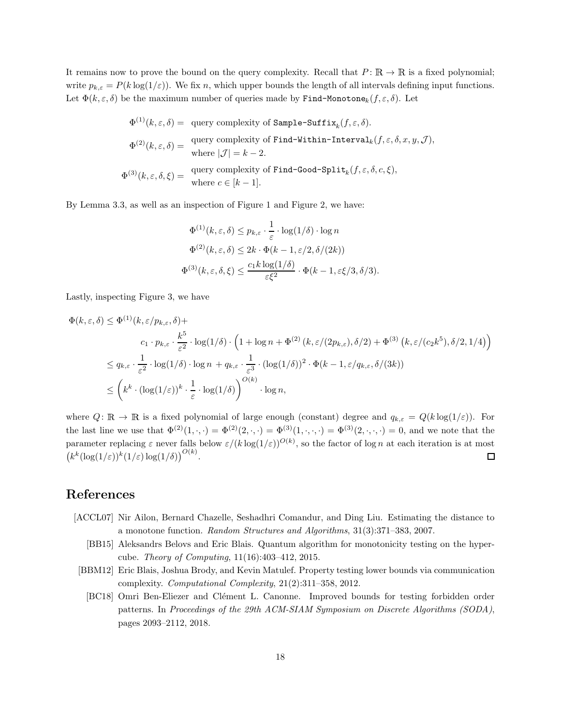It remains now to prove the bound on the query complexity. Recall that  $P: \mathbb{R} \to \mathbb{R}$  is a fixed polynomial; write  $p_{k,\varepsilon} = P(k \log(1/\varepsilon))$ . We fix n, which upper bounds the length of all intervals defining input functions. Let  $\Phi(k, \varepsilon, \delta)$  be the maximum number of queries made by Find-Monotone<sub>k</sub> $(f, \varepsilon, \delta)$ . Let

$$
\Phi^{(1)}(k, \varepsilon, \delta) = \text{ query complexity of Sample-Suffix}_k(f, \varepsilon, \delta).
$$
  
\n
$$
\Phi^{(2)}(k, \varepsilon, \delta) = \text{ query complexity of Find-Within-Interval}_k(f, \varepsilon, \delta, x, y, \mathcal{J}),
$$
  
\nwhere  $|\mathcal{J}| = k - 2$ .  
\n
$$
\Phi^{(3)}(k, \varepsilon, \delta, \xi) = \text{ query complexity of Find-Good-Split}_k(f, \varepsilon, \delta, c, \xi),
$$
  
\nwhere  $c \in [k - 1]$ .

By Lemma [3.3,](#page-11-0) as well as an inspection of Figure [1](#page-12-0) and Figure [2,](#page-13-0) we have:

$$
\Phi^{(1)}(k,\varepsilon,\delta) \le p_{k,\varepsilon} \cdot \frac{1}{\varepsilon} \cdot \log(1/\delta) \cdot \log n
$$
  

$$
\Phi^{(2)}(k,\varepsilon,\delta) \le 2k \cdot \Phi(k-1,\varepsilon/2,\delta/(2k))
$$
  

$$
\Phi^{(3)}(k,\varepsilon,\delta,\xi) \le \frac{c_1 k \log(1/\delta)}{\varepsilon \xi^2} \cdot \Phi(k-1,\varepsilon \xi/3,\delta/3).
$$

Lastly, inspecting Figure [3,](#page-15-0) we have

$$
\Phi(k,\varepsilon,\delta) \leq \Phi^{(1)}(k,\varepsilon/p_{k,\varepsilon},\delta) +
$$
\n
$$
c_1 \cdot p_{k,\varepsilon} \cdot \frac{k^5}{\varepsilon^2} \cdot \log(1/\delta) \cdot \left(1 + \log n + \Phi^{(2)}(k,\varepsilon/(2p_{k,\varepsilon}),\delta/2) + \Phi^{(3)}(k,\varepsilon/(c_2k^5),\delta/2,1/4)\right)
$$
\n
$$
\leq q_{k,\varepsilon} \cdot \frac{1}{\varepsilon^2} \cdot \log(1/\delta) \cdot \log n + q_{k,\varepsilon} \cdot \frac{1}{\varepsilon^3} \cdot (\log(1/\delta))^2 \cdot \Phi(k-1,\varepsilon/q_{k,\varepsilon},\delta/(3k))
$$
\n
$$
\leq \left(k^k \cdot (\log(1/\varepsilon))^k \cdot \frac{1}{\varepsilon} \cdot \log(1/\delta)\right)^{O(k)} \cdot \log n,
$$

where  $Q: \mathbb{R} \to \mathbb{R}$  is a fixed polynomial of large enough (constant) degree and  $q_{k,\varepsilon} = Q(k \log(1/\varepsilon))$ . For the last line we use that  $\Phi^{(2)}(1,\cdot,\cdot)=\Phi^{(2)}(2,\cdot,\cdot)=\Phi^{(3)}(1,\cdot,\cdot,\cdot)=\Phi^{(3)}(2,\cdot,\cdot,\cdot)=0$ , and we note that the parameter replacing  $\varepsilon$  never falls below  $\varepsilon/(k \log(1/\varepsilon))^{O(k)}$ , so the factor of log n at each iteration is at most  $\left(k^k(\log(1/\varepsilon))^k(1/\varepsilon)\log(1/\delta)\right)^{O(k)}.$ □

# References

- <span id="page-18-3"></span><span id="page-18-0"></span>[ACCL07] Nir Ailon, Bernard Chazelle, Seshadhri Comandur, and Ding Liu. Estimating the distance to a monotone function. Random Structures and Algorithms, 31(3):371–383, 2007.
	- [BB15] Aleksandrs Belovs and Eric Blais. Quantum algorithm for monotonicity testing on the hypercube. Theory of Computing, 11(16):403–412, 2015.
- <span id="page-18-2"></span><span id="page-18-1"></span>[BBM12] Eric Blais, Joshua Brody, and Kevin Matulef. Property testing lower bounds via communication complexity. Computational Complexity, 21(2):311–358, 2012.
	- [BC18] Omri Ben-Eliezer and Clément L. Canonne. Improved bounds for testing forbidden order patterns. In Proceedings of the 29th ACM-SIAM Symposium on Discrete Algorithms (SODA), pages 2093–2112, 2018.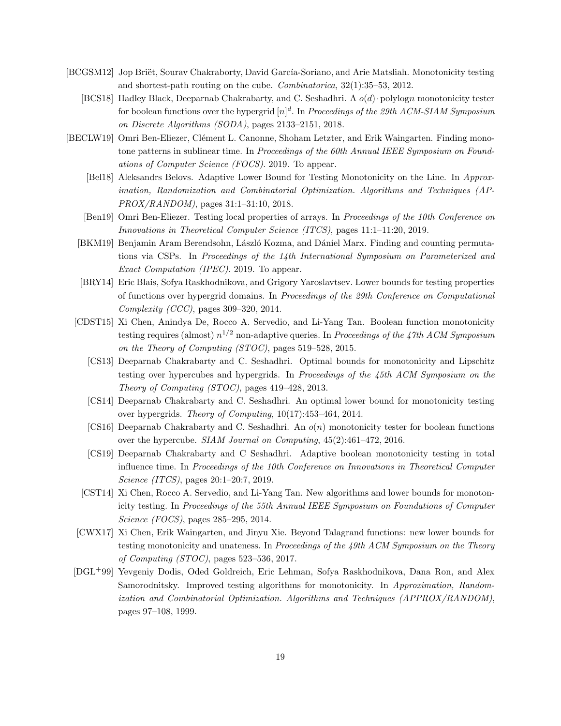- <span id="page-19-14"></span><span id="page-19-6"></span>[BCGSM12] Jop Briët, Sourav Chakraborty, David García-Soriano, and Arie Matsliah. Monotonicity testing and shortest-path routing on the cube. Combinatorica, 32(1):35–53, 2012.
	- [BCS18] Hadley Black, Deeparnab Chakrabarty, and C. Seshadhri. A  $o(d)$  polylogn monotonicity tester for boolean functions over the hypergrid  $[n]^d$ . In Proceedings of the 29th ACM-SIAM Symposium on Discrete Algorithms (SODA), pages 2133–2151, 2018.
- <span id="page-19-13"></span><span id="page-19-12"></span><span id="page-19-11"></span><span id="page-19-10"></span><span id="page-19-9"></span><span id="page-19-8"></span><span id="page-19-7"></span><span id="page-19-5"></span><span id="page-19-4"></span><span id="page-19-3"></span><span id="page-19-2"></span><span id="page-19-1"></span><span id="page-19-0"></span>[BECLW19] Omri Ben-Eliezer, Clément L. Canonne, Shoham Letzter, and Erik Waingarten. Finding monotone patterns in sublinear time. In Proceedings of the 60th Annual IEEE Symposium on Foundations of Computer Science (FOCS). 2019. To appear.
	- [Bel18] Aleksandrs Belovs. Adaptive Lower Bound for Testing Monotonicity on the Line. In Approximation, Randomization and Combinatorial Optimization. Algorithms and Techniques (AP-PROX/RANDOM), pages 31:1–31:10, 2018.
	- [Ben19] Omri Ben-Eliezer. Testing local properties of arrays. In Proceedings of the 10th Conference on Innovations in Theoretical Computer Science (ITCS), pages 11:1–11:20, 2019.
	- [BKM19] Benjamin Aram Berendsohn, László Kozma, and Dániel Marx. Finding and counting permutations via CSPs. In Proceedings of the 14th International Symposium on Parameterized and Exact Computation (IPEC). 2019. To appear.
	- [BRY14] Eric Blais, Sofya Raskhodnikova, and Grigory Yaroslavtsev. Lower bounds for testing properties of functions over hypergrid domains. In Proceedings of the 29th Conference on Computational Complexity (CCC), pages 309–320, 2014.
	- [CDST15] Xi Chen, Anindya De, Rocco A. Servedio, and Li-Yang Tan. Boolean function monotonicity testing requires (almost)  $n^{1/2}$  non-adaptive queries. In Proceedings of the 47th ACM Symposium on the Theory of Computing (STOC), pages 519–528, 2015.
		- [CS13] Deeparnab Chakrabarty and C. Seshadhri. Optimal bounds for monotonicity and Lipschitz testing over hypercubes and hypergrids. In Proceedings of the 45th ACM Symposium on the Theory of Computing (STOC), pages 419–428, 2013.
		- [CS14] Deeparnab Chakrabarty and C. Seshadhri. An optimal lower bound for monotonicity testing over hypergrids. Theory of Computing, 10(17):453–464, 2014.
		- [CS16] Deeparnab Chakrabarty and C. Seshadhri. An  $o(n)$  monotonicity tester for boolean functions over the hypercube. SIAM Journal on Computing, 45(2):461–472, 2016.
		- [CS19] Deeparnab Chakrabarty and C Seshadhri. Adaptive boolean monotonicity testing in total influence time. In Proceedings of the 10th Conference on Innovations in Theoretical Computer Science (ITCS), pages 20:1–20:7, 2019.
	- [CST14] Xi Chen, Rocco A. Servedio, and Li-Yang Tan. New algorithms and lower bounds for monotonicity testing. In Proceedings of the 55th Annual IEEE Symposium on Foundations of Computer Science (FOCS), pages 285–295, 2014.
	- [CWX17] Xi Chen, Erik Waingarten, and Jinyu Xie. Beyond Talagrand functions: new lower bounds for testing monotonicity and unateness. In Proceedings of the 49th ACM Symposium on the Theory of Computing (STOC), pages 523–536, 2017.
	- [DGL+99] Yevgeniy Dodis, Oded Goldreich, Eric Lehman, Sofya Raskhodnikova, Dana Ron, and Alex Samorodnitsky. Improved testing algorithms for monotonicity. In Approximation, Randomization and Combinatorial Optimization. Algorithms and Techniques (APPROX/RANDOM), pages 97–108, 1999.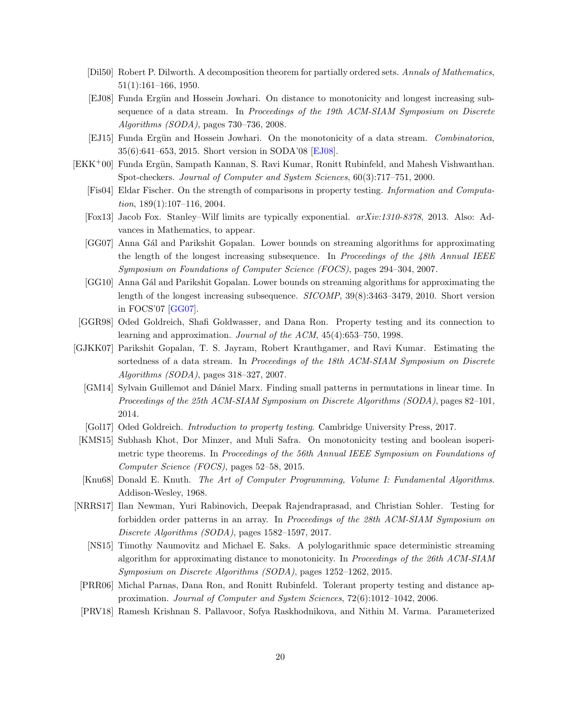- <span id="page-20-2"></span>[Dil50] Robert P. Dilworth. A decomposition theorem for partially ordered sets. Annals of Mathematics, 51(1):161–166, 1950.
- <span id="page-20-16"></span>[EJ08] Funda Ergün and Hossein Jowhari. On distance to monotonicity and longest increasing subsequence of a data stream. In Proceedings of the 19th ACM-SIAM Symposium on Discrete Algorithms (SODA), pages 730–736, 2008.
- <span id="page-20-8"></span>[EJ15] Funda Ergün and Hossein Jowhari. On the monotonicity of a data stream. Combinatorica, 35(6):641–653, 2015. Short version in SODA'08 [\[EJ08\]](#page-20-16).
- <span id="page-20-17"></span><span id="page-20-11"></span><span id="page-20-4"></span><span id="page-20-3"></span>[EKK+00] Funda Ergün, Sampath Kannan, S. Ravi Kumar, Ronitt Rubinfeld, and Mahesh Vishwanthan. Spot-checkers. Journal of Computer and System Sciences, 60(3):717–751, 2000.
	- [Fis04] Eldar Fischer. On the strength of comparisons in property testing. Information and Computation, 189(1):107–116, 2004.
	- [Fox13] Jacob Fox. Stanley–Wilf limits are typically exponential. arXiv:1310-8378, 2013. Also: Advances in Mathematics, to appear.
	- [GG07] Anna Gál and Parikshit Gopalan. Lower bounds on streaming algorithms for approximating the length of the longest increasing subsequence. In Proceedings of the  $48th$  Annual IEEE Symposium on Foundations of Computer Science (FOCS), pages 294–304, 2007.
	- [GG10] Anna Gál and Parikshit Gopalan. Lower bounds on streaming algorithms for approximating the length of the longest increasing subsequence. SICOMP, 39(8):3463–3479, 2010. Short version in FOCS'07 [\[GG07\]](#page-20-17).
- <span id="page-20-15"></span><span id="page-20-7"></span>[GGR98] Oded Goldreich, Shafi Goldwasser, and Dana Ron. Property testing and its connection to learning and approximation. Journal of the ACM, 45(4):653–750, 1998.
- <span id="page-20-10"></span><span id="page-20-6"></span>[GJKK07] Parikshit Gopalan, T. S. Jayram, Robert Krauthgamer, and Ravi Kumar. Estimating the sortedness of a data stream. In Proceedings of the 18th ACM-SIAM Symposium on Discrete Algorithms (SODA), pages 318–327, 2007.
	- [GM14] Sylvain Guillemot and D´aniel Marx. Finding small patterns in permutations in linear time. In Proceedings of the 25th ACM-SIAM Symposium on Discrete Algorithms (SODA), pages 82–101, 2014.
	- [Gol17] Oded Goldreich. Introduction to property testing. Cambridge University Press, 2017.
- <span id="page-20-14"></span><span id="page-20-13"></span>[KMS15] Subhash Khot, Dor Minzer, and Muli Safra. On monotonicity testing and boolean isoperimetric type theorems. In Proceedings of the 56th Annual IEEE Symposium on Foundations of Computer Science (FOCS), pages 52–58, 2015.
- <span id="page-20-0"></span>[Knu68] Donald E. Knuth. The Art of Computer Programming, Volume I: Fundamental Algorithms. Addison-Wesley, 1968.
- <span id="page-20-9"></span><span id="page-20-1"></span>[NRRS17] Ilan Newman, Yuri Rabinovich, Deepak Rajendraprasad, and Christian Sohler. Testing for forbidden order patterns in an array. In Proceedings of the 28th ACM-SIAM Symposium on Discrete Algorithms (SODA), pages 1582–1597, 2017.
	- [NS15] Timothy Naumovitz and Michael E. Saks. A polylogarithmic space deterministic streaming algorithm for approximating distance to monotonicity. In Proceedings of the 26th ACM-SIAM Symposium on Discrete Algorithms (SODA), pages 1252–1262, 2015.
- <span id="page-20-5"></span>[PRR06] Michal Parnas, Dana Ron, and Ronitt Rubinfeld. Tolerant property testing and distance approximation. Journal of Computer and System Sciences, 72(6):1012–1042, 2006.
- <span id="page-20-12"></span>[PRV18] Ramesh Krishnan S. Pallavoor, Sofya Raskhodnikova, and Nithin M. Varma. Parameterized